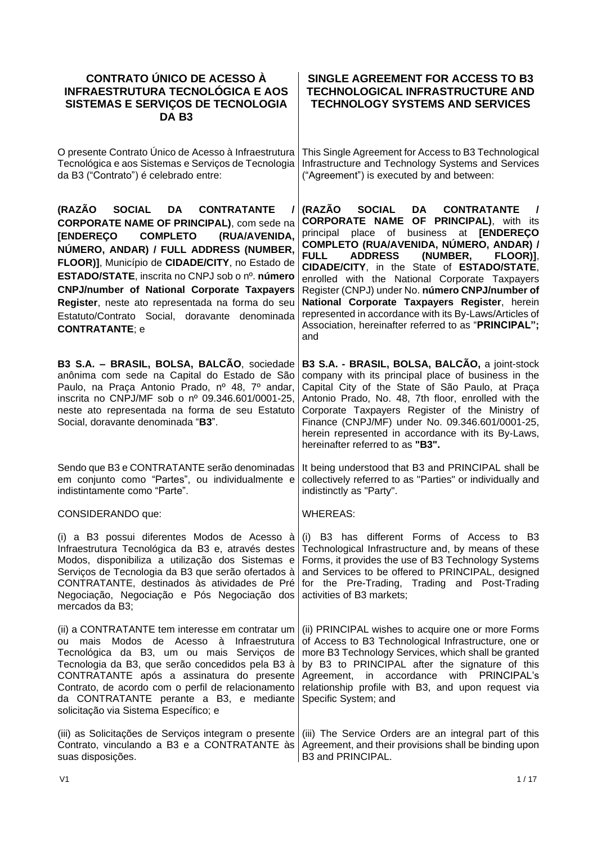| <b>CONTRATO ÚNICO DE ACESSO À</b><br><b>INFRAESTRUTURA TECNOLÓGICA E AOS</b><br>SISTEMAS E SERVIÇOS DE TECNOLOGIA<br>DA B <sub>3</sub>                                                                                                                                                                                                                                                                                                                                                        | <b>SINGLE AGREEMENT FOR ACCESS TO B3</b><br><b>TECHNOLOGICAL INFRASTRUCTURE AND</b><br><b>TECHNOLOGY SYSTEMS AND SERVICES</b>                                                                                                                                                                                                                                                                                                                                                                                                                                                                    |
|-----------------------------------------------------------------------------------------------------------------------------------------------------------------------------------------------------------------------------------------------------------------------------------------------------------------------------------------------------------------------------------------------------------------------------------------------------------------------------------------------|--------------------------------------------------------------------------------------------------------------------------------------------------------------------------------------------------------------------------------------------------------------------------------------------------------------------------------------------------------------------------------------------------------------------------------------------------------------------------------------------------------------------------------------------------------------------------------------------------|
| O presente Contrato Unico de Acesso à Infraestrutura<br>Tecnológica e aos Sistemas e Serviços de Tecnologia<br>da B3 ("Contrato") é celebrado entre:                                                                                                                                                                                                                                                                                                                                          | This Single Agreement for Access to B3 Technological<br>Infrastructure and Technology Systems and Services<br>("Agreement") is executed by and between:                                                                                                                                                                                                                                                                                                                                                                                                                                          |
| (RAZÃO SOCIAL DA<br><b>CONTRATANTE</b><br>I<br><b>CORPORATE NAME OF PRINCIPAL)</b> , com sede na<br><b>COMPLETO</b><br><b>[ENDEREÇO</b><br>(RUA/AVENIDA,<br>NÚMERO, ANDAR) / FULL ADDRESS (NUMBER,<br>FLOOR)], Município de CIDADE/CITY, no Estado de<br>ESTADO/STATE, inscrita no CNPJ sob o nº. número<br><b>CNPJ/number of National Corporate Taxpayers</b><br>Register, neste ato representada na forma do seu<br>Estatuto/Contrato Social, doravante denominada<br><b>CONTRATANTE; e</b> | (RAZÃO SOCIAL<br><b>DA</b><br><b>CONTRATANTE</b><br>$\overline{1}$<br><b>CORPORATE NAME OF PRINCIPAL), with its</b><br>principal place of business at [ENDEREÇO<br>COMPLETO (RUA/AVENIDA, NÚMERO, ANDAR) /<br><b>FULL</b><br><b>ADDRESS</b><br>(NUMBER,<br>FLOOR)],<br>CIDADE/CITY, in the State of ESTADO/STATE,<br>enrolled with the National Corporate Taxpayers<br>Register (CNPJ) under No. número CNPJ/number of<br>National Corporate Taxpayers Register, herein<br>represented in accordance with its By-Laws/Articles of<br>Association, hereinafter referred to as "PRINCIPAL";<br>and |
| B3 S.A. - BRASIL, BOLSA, BALCÃO, sociedade<br>anônima com sede na Capital do Estado de São<br>Paulo, na Praça Antonio Prado, nº 48, 7º andar,<br>inscrita no CNPJ/MF sob o nº 09.346.601/0001-25,<br>neste ato representada na forma de seu Estatuto<br>Social, doravante denominada "B3".                                                                                                                                                                                                    | B3 S.A. - BRASIL, BOLSA, BALCÃO, a joint-stock<br>company with its principal place of business in the<br>Capital City of the State of São Paulo, at Praça<br>Antonio Prado, No. 48, 7th floor, enrolled with the<br>Corporate Taxpayers Register of the Ministry of<br>Finance (CNPJ/MF) under No. 09.346.601/0001-25,<br>herein represented in accordance with its By-Laws,<br>hereinafter referred to as "B3".                                                                                                                                                                                 |
| Sendo que B3 e CONTRATANTE serão denominadas<br>em conjunto como "Partes", ou individualmente e<br>indistintamente como "Parte".                                                                                                                                                                                                                                                                                                                                                              | It being understood that B3 and PRINCIPAL shall be<br>collectively referred to as "Parties" or individually and<br>indistinctly as "Party".                                                                                                                                                                                                                                                                                                                                                                                                                                                      |
| CONSIDERANDO que:                                                                                                                                                                                                                                                                                                                                                                                                                                                                             | <b>WHEREAS:</b>                                                                                                                                                                                                                                                                                                                                                                                                                                                                                                                                                                                  |
| (i) a B3 possui diferentes Modos de Acesso à<br>Infraestrutura Tecnológica da B3 e, através destes<br>Modos, disponibiliza a utilização dos Sistemas e<br>Serviços de Tecnologia da B3 que serão ofertados à<br>CONTRATANTE, destinados às atividades de Pré<br>Negociação, Negociação e Pós Negociação dos<br>mercados da B3;                                                                                                                                                                | (i) B3 has different Forms of Access to B3<br>Technological Infrastructure and, by means of these<br>Forms, it provides the use of B3 Technology Systems<br>and Services to be offered to PRINCIPAL, designed<br>for the Pre-Trading, Trading and Post-Trading<br>activities of B3 markets;                                                                                                                                                                                                                                                                                                      |
| (ii) a CONTRATANTE tem interesse em contratar um<br>de Acesso à<br>Infraestrutura<br>ou mais<br>Modos<br>Tecnológica da B3, um ou mais Serviços de<br>Tecnologia da B3, que serão concedidos pela B3 à<br>CONTRATANTE após a assinatura do presente<br>Contrato, de acordo com o perfil de relacionamento<br>da CONTRATANTE perante a B3, e mediante<br>solicitação via Sistema Específico; e                                                                                                 | (ii) PRINCIPAL wishes to acquire one or more Forms<br>of Access to B3 Technological Infrastructure, one or<br>more B3 Technology Services, which shall be granted<br>by B3 to PRINCIPAL after the signature of this<br>Agreement, in accordance with PRINCIPAL's<br>relationship profile with B3, and upon request via<br>Specific System; and                                                                                                                                                                                                                                                   |
| (iii) as Solicitações de Serviços integram o presente<br>Contrato, vinculando a B3 e a CONTRATANTE às<br>suas disposições.                                                                                                                                                                                                                                                                                                                                                                    | (iii) The Service Orders are an integral part of this<br>Agreement, and their provisions shall be binding upon<br>B3 and PRINCIPAL.                                                                                                                                                                                                                                                                                                                                                                                                                                                              |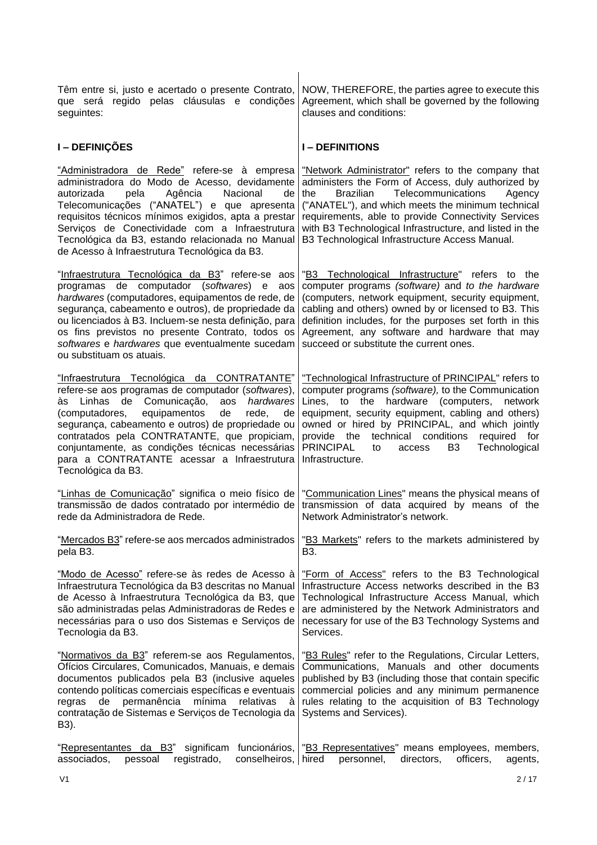Têm entre si, justo e acertado o presente Contrato, que será regido pelas cláusulas e condições seguintes: NOW, THEREFORE, the parties agree to execute this Agreement, which shall be governed by the following clauses and conditions: **I – DEFINIÇÕES I – DEFINITIONS** "Administradora de Rede" refere-se à empresa administradora do Modo de Acesso, devidamente autorizada pela Agência Nacional de Telecomunicações ("ANATEL") e que apresenta requisitos técnicos mínimos exigidos, apta a prestar Serviços de Conectividade com a Infraestrutura Tecnológica da B3, estando relacionada no Manual de Acesso à Infraestrutura Tecnológica da B3. "Network Administrator" refers to the company that administers the Form of Access, duly authorized by the Brazilian Telecommunications Agency ("ANATEL"), and which meets the minimum technical requirements, able to provide Connectivity Services with B3 Technological Infrastructure, and listed in the B3 Technological Infrastructure Access Manual. "Infraestrutura Tecnológica da B3" refere-se aos programas de computador (*softwares*) e aos *hardwares* (computadores, equipamentos de rede, de segurança, cabeamento e outros), de propriedade da ou licenciados à B3. Incluem-se nesta definição, para os fins previstos no presente Contrato, todos os *softwares* e *hardwares* que eventualmente sucedam ou substituam os atuais. "B3 Technological Infrastructure" refers to the computer programs *(software)* and *to the hardware* (computers, network equipment, security equipment, cabling and others) owned by or licensed to B3. This definition includes, for the purposes set forth in this Agreement, any software and hardware that may succeed or substitute the current ones. "Infraestrutura Tecnológica da CONTRATANTE" refere-se aos programas de computador (*softwares*), às Linhas de Comunicação, aos *hardwares* (computadores, equipamentos de rede, de segurança, cabeamento e outros) de propriedade ou contratados pela CONTRATANTE, que propiciam, conjuntamente, as condições técnicas necessárias para a CONTRATANTE acessar a Infraestrutura Tecnológica da B3. "Technological Infrastructure of PRINCIPAL" refers to computer programs *(software),* to the Communication Lines, to the hardware (computers, network equipment, security equipment, cabling and others) owned or hired by PRINCIPAL, and which jointly provide the technical conditions required for PRINCIPAL to access B3 Technological Infrastructure. "Linhas de Comunicação" significa o meio físico de transmissão de dados contratado por intermédio de rede da Administradora de Rede. "Communication Lines" means the physical means of transmission of data acquired by means of the Network Administrator's network. "Mercados B3" refere-se aos mercados administrados pela B3. "B3 Markets" refers to the markets administered by B3. "Modo de Acesso" refere-se às redes de Acesso à Infraestrutura Tecnológica da B3 descritas no Manual de Acesso à Infraestrutura Tecnológica da B3, que são administradas pelas Administradoras de Redes e necessárias para o uso dos Sistemas e Serviços de Tecnologia da B3. "Form of Access" refers to the B3 Technological Infrastructure Access networks described in the B3 Technological Infrastructure Access Manual, which are administered by the Network Administrators and necessary for use of the B3 Technology Systems and Services. "Normativos da B3" referem-se aos Regulamentos, Ofícios Circulares, Comunicados, Manuais, e demais documentos publicados pela B3 (inclusive aqueles contendo políticas comerciais específicas e eventuais regras de permanência mínima relativas à contratação de Sistemas e Serviços de Tecnologia da B3). "B3 Rules" refer to the Regulations, Circular Letters, Communications, Manuals and other documents published by B3 (including those that contain specific commercial policies and any minimum permanence rules relating to the acquisition of B3 Technology Systems and Services). "Representantes da B3" significam funcionários, associados, pessoal registrado, conselheiros, "B3 Representatives" means employees, members, personnel, directors, officers, agents,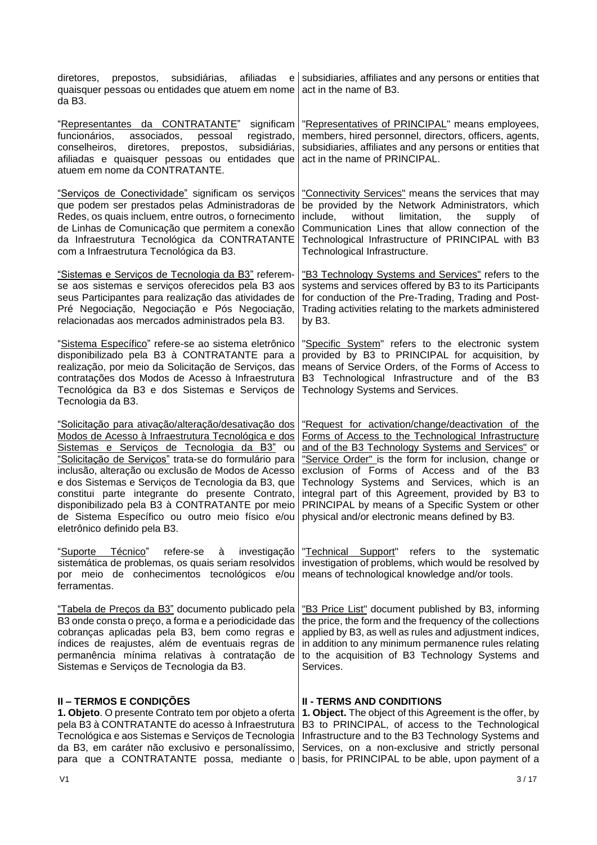| prepostos, subsidiárias,<br>diretores,<br>afiliadas<br>е<br>quaisquer pessoas ou entidades que atuem em nome<br>da B3.                                                                                                                                                                                                                                                                                                                                                                                                         | subsidiaries, affiliates and any persons or entities that<br>act in the name of B3.                                                                                                                                                                                                                                                                                                                                                                                               |
|--------------------------------------------------------------------------------------------------------------------------------------------------------------------------------------------------------------------------------------------------------------------------------------------------------------------------------------------------------------------------------------------------------------------------------------------------------------------------------------------------------------------------------|-----------------------------------------------------------------------------------------------------------------------------------------------------------------------------------------------------------------------------------------------------------------------------------------------------------------------------------------------------------------------------------------------------------------------------------------------------------------------------------|
| "Representantes da CONTRATANTE"<br>significam<br>funcionários,<br>associados,<br>registrado,<br>pessoal<br>conselheiros,<br>diretores, prepostos,<br>subsidiárias,<br>afiliadas e quaisquer pessoas ou entidades que<br>atuem em nome da CONTRATANTE.                                                                                                                                                                                                                                                                          | "Representatives of PRINCIPAL" means employees,<br>members, hired personnel, directors, officers, agents,<br>subsidiaries, affiliates and any persons or entities that<br>act in the name of PRINCIPAL.                                                                                                                                                                                                                                                                           |
| "Serviços de Conectividade" significam os serviços<br>que podem ser prestados pelas Administradoras de<br>Redes, os quais incluem, entre outros, o fornecimento<br>de Linhas de Comunicação que permitem a conexão<br>da Infraestrutura Tecnológica da CONTRATANTE<br>com a Infraestrutura Tecnológica da B3.                                                                                                                                                                                                                  | "Connectivity Services" means the services that may<br>be provided by the Network Administrators, which<br>include,<br>without<br>limitation,<br>the<br>supply<br>οf<br>Communication Lines that allow connection of the<br>Technological Infrastructure of PRINCIPAL with B3<br>Technological Infrastructure.                                                                                                                                                                    |
| "Sistemas e Serviços de Tecnologia da B3" referem-<br>se aos sistemas e serviços oferecidos pela B3 aos<br>seus Participantes para realização das atividades de<br>Pré Negociação, Negociação e Pós Negociação,<br>relacionadas aos mercados administrados pela B3.                                                                                                                                                                                                                                                            | "B3 Technology Systems and Services" refers to the<br>systems and services offered by B3 to its Participants<br>for conduction of the Pre-Trading, Trading and Post-<br>Trading activities relating to the markets administered<br>by B3.                                                                                                                                                                                                                                         |
| "Sistema Específico" refere-se ao sistema eletrônico<br>disponibilizado pela B3 à CONTRATANTE para a<br>realização, por meio da Solicitação de Serviços, das<br>contratações dos Modos de Acesso à Infraestrutura<br>Tecnológica da B3 e dos Sistemas e Serviços de<br>Tecnologia da B3.                                                                                                                                                                                                                                       | "Specific System" refers to the electronic system<br>provided by B3 to PRINCIPAL for acquisition, by<br>means of Service Orders, of the Forms of Access to<br>B3 Technological Infrastructure and of the B3<br>Technology Systems and Services.                                                                                                                                                                                                                                   |
| <u>"Solicitação para ativação/alteração/desativação dos</u><br>Modos de Acesso à Infraestrutura Tecnológica e dos<br>Sistemas e Serviços de Tecnologia da B3" ou<br>"Solicitação de Serviços" trata-se do formulário para<br>inclusão, alteração ou exclusão de Modos de Acesso<br>e dos Sistemas e Serviços de Tecnologia da B3, que<br>constitui parte integrante do presente Contrato,<br>disponibilizado pela B3 à CONTRATANTE por meio<br>de Sistema Específico ou outro meio físico e/ou<br>eletrônico definido pela B3. | "Request for activation/change/deactivation of the<br>Forms of Access to the Technological Infrastructure<br>and of the B3 Technology Systems and Services" or<br>"Service Order" is the form for inclusion, change or<br>exclusion of Forms of Access and of the B3<br>Technology Systems and Services, which is an<br>integral part of this Agreement, provided by B3 to<br>PRINCIPAL by means of a Specific System or other<br>physical and/or electronic means defined by B3. |
| "Suporte Técnico"<br>investigação<br>refere-se<br>à<br>sistemática de problemas, os quais seriam resolvidos<br>por meio de conhecimentos tecnológicos e/ou<br>ferramentas.                                                                                                                                                                                                                                                                                                                                                     | "Technical Support"<br>refers<br>to<br>the<br>systematic<br>investigation of problems, which would be resolved by<br>means of technological knowledge and/or tools.                                                                                                                                                                                                                                                                                                               |
| "Tabela de Preços da B3" documento publicado pela<br>B3 onde consta o preço, a forma e a periodicidade das<br>cobranças aplicadas pela B3, bem como regras e<br>índices de reajustes, além de eventuais regras de<br>permanência mínima relativas à contratação de<br>Sistemas e Serviços de Tecnologia da B3.                                                                                                                                                                                                                 | "B3 Price List" document published by B3, informing<br>the price, the form and the frequency of the collections<br>applied by B3, as well as rules and adjustment indices,<br>in addition to any minimum permanence rules relating<br>to the acquisition of B3 Technology Systems and<br>Services.                                                                                                                                                                                |
| II – TERMOS E CONDIÇÕES<br>1. Objeto. O presente Contrato tem por objeto a oferta<br>pela B3 à CONTRATANTE do acesso à Infraestrutura<br>Tecnológica e aos Sistemas e Serviços de Tecnologia<br>da B3, em caráter não exclusivo e personalíssimo,<br>para que a CONTRATANTE possa, mediante o                                                                                                                                                                                                                                  | <b>II - TERMS AND CONDITIONS</b><br>1. Object. The object of this Agreement is the offer, by<br>B3 to PRINCIPAL, of access to the Technological<br>Infrastructure and to the B3 Technology Systems and<br>Services, on a non-exclusive and strictly personal<br>basis, for PRINCIPAL to be able, upon payment of a                                                                                                                                                                |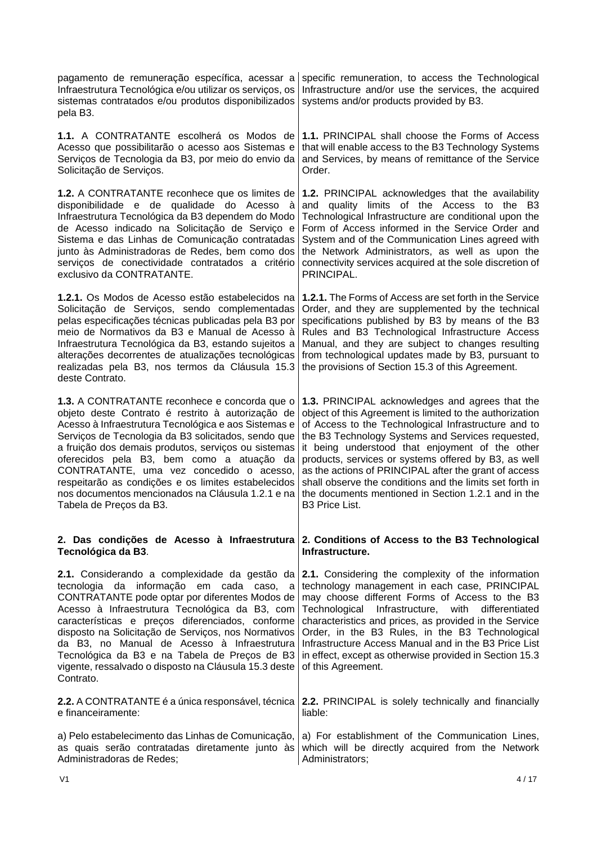| pagamento de remuneração específica, acessar a<br>Infraestrutura Tecnológica e/ou utilizar os serviços, os<br>sistemas contratados e/ou produtos disponibilizados<br>pela B3.                                                                                                                                                                                                                                                    | specific remuneration, to access the Technological<br>Infrastructure and/or use the services, the acquired<br>systems and/or products provided by B3.                                                                                                                                                                                                                                                                                                                                                                 |
|----------------------------------------------------------------------------------------------------------------------------------------------------------------------------------------------------------------------------------------------------------------------------------------------------------------------------------------------------------------------------------------------------------------------------------|-----------------------------------------------------------------------------------------------------------------------------------------------------------------------------------------------------------------------------------------------------------------------------------------------------------------------------------------------------------------------------------------------------------------------------------------------------------------------------------------------------------------------|
| 1.1. A CONTRATANTE escolherá os Modos de                                                                                                                                                                                                                                                                                                                                                                                         | <b>1.1. PRINCIPAL shall choose the Forms of Access</b>                                                                                                                                                                                                                                                                                                                                                                                                                                                                |
| Acesso que possibilitarão o acesso aos Sistemas e                                                                                                                                                                                                                                                                                                                                                                                | that will enable access to the B3 Technology Systems                                                                                                                                                                                                                                                                                                                                                                                                                                                                  |
| Serviços de Tecnologia da B3, por meio do envio da                                                                                                                                                                                                                                                                                                                                                                               | and Services, by means of remittance of the Service                                                                                                                                                                                                                                                                                                                                                                                                                                                                   |
| Solicitação de Serviços.                                                                                                                                                                                                                                                                                                                                                                                                         | Order.                                                                                                                                                                                                                                                                                                                                                                                                                                                                                                                |
| <b>1.2.</b> A CONTRATANTE reconhece que os limites de<br>disponibilidade e de qualidade do Acesso<br>à<br>Infraestrutura Tecnológica da B3 dependem do Modo<br>de Acesso indicado na Solicitação de Serviço e<br>Sistema e das Linhas de Comunicação contratadas<br>junto às Administradoras de Redes, bem como dos<br>serviços de conectividade contratados a critério<br>exclusivo da CONTRATANTE.                             | 1.2. PRINCIPAL acknowledges that the availability<br>quality limits of the Access to the<br>and<br>B3<br>Technological Infrastructure are conditional upon the<br>Form of Access informed in the Service Order and<br>System and of the Communication Lines agreed with<br>the Network Administrators, as well as upon the<br>connectivity services acquired at the sole discretion of<br>PRINCIPAL.                                                                                                                  |
| 1.2.1. Os Modos de Acesso estão estabelecidos na<br>Solicitação de Serviços, sendo complementadas<br>pelas especificações técnicas publicadas pela B3 por<br>meio de Normativos da B3 e Manual de Acesso à<br>Infraestrutura Tecnológica da B3, estando sujeitos a<br>alterações decorrentes de atualizações tecnológicas<br>realizadas pela B3, nos termos da Cláusula 15.3<br>deste Contrato.                                  | 1.2.1. The Forms of Access are set forth in the Service<br>Order, and they are supplemented by the technical<br>specifications published by B3 by means of the B3<br>Rules and B3 Technological Infrastructure Access<br>Manual, and they are subject to changes resulting<br>from technological updates made by B3, pursuant to<br>the provisions of Section 15.3 of this Agreement.                                                                                                                                 |
| 1.3. A CONTRATANTE reconhece e concorda que o                                                                                                                                                                                                                                                                                                                                                                                    | 1.3. PRINCIPAL acknowledges and agrees that the                                                                                                                                                                                                                                                                                                                                                                                                                                                                       |
| objeto deste Contrato é restrito à autorização de                                                                                                                                                                                                                                                                                                                                                                                | object of this Agreement is limited to the authorization                                                                                                                                                                                                                                                                                                                                                                                                                                                              |
| Acesso à Infraestrutura Tecnológica e aos Sistemas e                                                                                                                                                                                                                                                                                                                                                                             | of Access to the Technological Infrastructure and to                                                                                                                                                                                                                                                                                                                                                                                                                                                                  |
| Serviços de Tecnologia da B3 solicitados, sendo que                                                                                                                                                                                                                                                                                                                                                                              | the B3 Technology Systems and Services requested,                                                                                                                                                                                                                                                                                                                                                                                                                                                                     |
| a fruição dos demais produtos, serviços ou sistemas                                                                                                                                                                                                                                                                                                                                                                              | it being understood that enjoyment of the other                                                                                                                                                                                                                                                                                                                                                                                                                                                                       |
| oferecidos pela B3, bem como a atuação da                                                                                                                                                                                                                                                                                                                                                                                        | products, services or systems offered by B3, as well                                                                                                                                                                                                                                                                                                                                                                                                                                                                  |
| CONTRATANTE, uma vez concedido o acesso,                                                                                                                                                                                                                                                                                                                                                                                         | as the actions of PRINCIPAL after the grant of access                                                                                                                                                                                                                                                                                                                                                                                                                                                                 |
| respeitarão as condições e os limites estabelecidos                                                                                                                                                                                                                                                                                                                                                                              | shall observe the conditions and the limits set forth in                                                                                                                                                                                                                                                                                                                                                                                                                                                              |
| nos documentos mencionados na Cláusula 1.2.1 e na                                                                                                                                                                                                                                                                                                                                                                                | the documents mentioned in Section 1.2.1 and in the                                                                                                                                                                                                                                                                                                                                                                                                                                                                   |
| Tabela de Preços da B3.                                                                                                                                                                                                                                                                                                                                                                                                          | <b>B3 Price List.</b>                                                                                                                                                                                                                                                                                                                                                                                                                                                                                                 |
| 2. Das condições de Acesso à Infraestrutura                                                                                                                                                                                                                                                                                                                                                                                      | 2. Conditions of Access to the B3 Technological                                                                                                                                                                                                                                                                                                                                                                                                                                                                       |
| Tecnológica da B3.                                                                                                                                                                                                                                                                                                                                                                                                               | Infrastructure.                                                                                                                                                                                                                                                                                                                                                                                                                                                                                                       |
| tecnologia da informação em cada caso,<br>a<br>CONTRATANTE pode optar por diferentes Modos de<br>Acesso à Infraestrutura Tecnológica da B3, com<br>características e preços diferenciados, conforme<br>disposto na Solicitação de Serviços, nos Normativos<br>da B3, no Manual de Acesso à Infraestrutura<br>Tecnológica da B3 e na Tabela de Preços de B3<br>vigente, ressalvado o disposto na Cláusula 15.3 deste<br>Contrato. | 2.1. Considerando a complexidade da gestão da 2.1. Considering the complexity of the information<br>technology management in each case, PRINCIPAL<br>may choose different Forms of Access to the B3<br>Technological<br>Infrastructure, with<br>differentiated<br>characteristics and prices, as provided in the Service<br>Order, in the B3 Rules, in the B3 Technological<br>Infrastructure Access Manual and in the B3 Price List<br>in effect, except as otherwise provided in Section 15.3<br>of this Agreement. |
| 2.2. A CONTRATANTE é a única responsável, técnica                                                                                                                                                                                                                                                                                                                                                                                | 2.2. PRINCIPAL is solely technically and financially                                                                                                                                                                                                                                                                                                                                                                                                                                                                  |
| e financeiramente:                                                                                                                                                                                                                                                                                                                                                                                                               | liable:                                                                                                                                                                                                                                                                                                                                                                                                                                                                                                               |
| a) Pelo estabelecimento das Linhas de Comunicação,                                                                                                                                                                                                                                                                                                                                                                               | a) For establishment of the Communication Lines,                                                                                                                                                                                                                                                                                                                                                                                                                                                                      |
| as quais serão contratadas diretamente junto às                                                                                                                                                                                                                                                                                                                                                                                  | which will be directly acquired from the Network                                                                                                                                                                                                                                                                                                                                                                                                                                                                      |
| Administradoras de Redes;                                                                                                                                                                                                                                                                                                                                                                                                        | Administrators;                                                                                                                                                                                                                                                                                                                                                                                                                                                                                                       |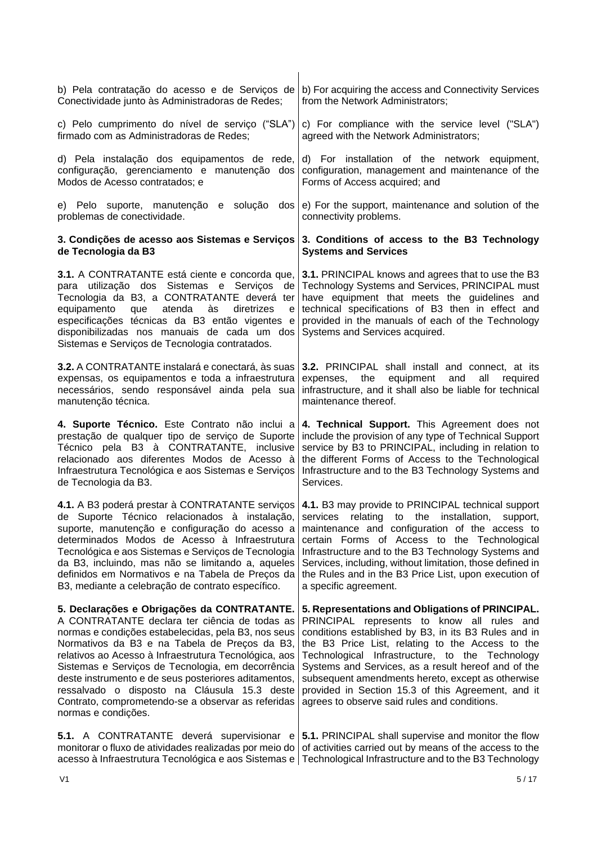| b) Pela contratação do acesso e de Serviços de                                                                                                                                                                                                                                                                                                                                                                                                                                                          | b) For acquiring the access and Connectivity Services                                                                                                                                                                                                                                                                                                                                                                                                                           |
|---------------------------------------------------------------------------------------------------------------------------------------------------------------------------------------------------------------------------------------------------------------------------------------------------------------------------------------------------------------------------------------------------------------------------------------------------------------------------------------------------------|---------------------------------------------------------------------------------------------------------------------------------------------------------------------------------------------------------------------------------------------------------------------------------------------------------------------------------------------------------------------------------------------------------------------------------------------------------------------------------|
| Conectividade junto às Administradoras de Redes;                                                                                                                                                                                                                                                                                                                                                                                                                                                        | from the Network Administrators;                                                                                                                                                                                                                                                                                                                                                                                                                                                |
| c) Pelo cumprimento do nível de serviço ("SLA")                                                                                                                                                                                                                                                                                                                                                                                                                                                         | c) For compliance with the service level ("SLA")                                                                                                                                                                                                                                                                                                                                                                                                                                |
| firmado com as Administradoras de Redes;                                                                                                                                                                                                                                                                                                                                                                                                                                                                | agreed with the Network Administrators;                                                                                                                                                                                                                                                                                                                                                                                                                                         |
| d) Pela instalação dos equipamentos de rede,                                                                                                                                                                                                                                                                                                                                                                                                                                                            | d) For installation of the network equipment,                                                                                                                                                                                                                                                                                                                                                                                                                                   |
| configuração, gerenciamento e manutenção dos                                                                                                                                                                                                                                                                                                                                                                                                                                                            | configuration, management and maintenance of the                                                                                                                                                                                                                                                                                                                                                                                                                                |
| Modos de Acesso contratados; e                                                                                                                                                                                                                                                                                                                                                                                                                                                                          | Forms of Access acquired; and                                                                                                                                                                                                                                                                                                                                                                                                                                                   |
| e) Pelo suporte, manutenção e solução dos                                                                                                                                                                                                                                                                                                                                                                                                                                                               | e) For the support, maintenance and solution of the                                                                                                                                                                                                                                                                                                                                                                                                                             |
| problemas de conectividade.                                                                                                                                                                                                                                                                                                                                                                                                                                                                             | connectivity problems.                                                                                                                                                                                                                                                                                                                                                                                                                                                          |
| 3. Condições de acesso aos Sistemas e Serviços                                                                                                                                                                                                                                                                                                                                                                                                                                                          | 3. Conditions of access to the B3 Technology                                                                                                                                                                                                                                                                                                                                                                                                                                    |
| de Tecnologia da B3                                                                                                                                                                                                                                                                                                                                                                                                                                                                                     | <b>Systems and Services</b>                                                                                                                                                                                                                                                                                                                                                                                                                                                     |
| 3.1. A CONTRATANTE está ciente e concorda que,<br>para utilização dos Sistemas e Serviços<br>de<br>Tecnologia da B3, a CONTRATANTE deverá ter<br>atenda<br>equipamento<br>que<br>às<br>diretrizes<br>e<br>especificações técnicas da B3 então vigentes e<br>disponibilizadas nos manuais de cada um dos<br>Sistemas e Serviços de Tecnologia contratados.                                                                                                                                               | 3.1. PRINCIPAL knows and agrees that to use the B3<br>Technology Systems and Services, PRINCIPAL must<br>have equipment that meets the guidelines and<br>technical specifications of B3 then in effect and<br>provided in the manuals of each of the Technology<br>Systems and Services acquired.                                                                                                                                                                               |
| 3.2. A CONTRATANTE instalará e conectará, às suas<br>expensas, os equipamentos e toda a infraestrutura<br>necessários, sendo responsável ainda pela sua<br>manutenção técnica.                                                                                                                                                                                                                                                                                                                          | 3.2. PRINCIPAL shall install and connect, at its<br>equipment<br>the<br>and<br>all<br>expenses,<br>required<br>infrastructure, and it shall also be liable for technical<br>maintenance thereof.                                                                                                                                                                                                                                                                                |
| 4. Suporte Técnico. Este Contrato não inclui a                                                                                                                                                                                                                                                                                                                                                                                                                                                          | 4. Technical Support. This Agreement does not                                                                                                                                                                                                                                                                                                                                                                                                                                   |
| prestação de qualquer tipo de serviço de Suporte                                                                                                                                                                                                                                                                                                                                                                                                                                                        | include the provision of any type of Technical Support                                                                                                                                                                                                                                                                                                                                                                                                                          |
| Técnico pela B3 à CONTRATANTE, inclusive                                                                                                                                                                                                                                                                                                                                                                                                                                                                | service by B3 to PRINCIPAL, including in relation to                                                                                                                                                                                                                                                                                                                                                                                                                            |
| relacionado aos diferentes Modos de Acesso à                                                                                                                                                                                                                                                                                                                                                                                                                                                            | the different Forms of Access to the Technological                                                                                                                                                                                                                                                                                                                                                                                                                              |
| Infraestrutura Tecnológica e aos Sistemas e Serviços                                                                                                                                                                                                                                                                                                                                                                                                                                                    | Infrastructure and to the B3 Technology Systems and                                                                                                                                                                                                                                                                                                                                                                                                                             |
| de Tecnologia da B3.                                                                                                                                                                                                                                                                                                                                                                                                                                                                                    | Services.                                                                                                                                                                                                                                                                                                                                                                                                                                                                       |
| 4.1. A B3 poderá prestar à CONTRATANTE serviços                                                                                                                                                                                                                                                                                                                                                                                                                                                         | 4.1. B3 may provide to PRINCIPAL technical support                                                                                                                                                                                                                                                                                                                                                                                                                              |
| de Suporte Técnico relacionados à instalação,                                                                                                                                                                                                                                                                                                                                                                                                                                                           | services relating to the installation, support,                                                                                                                                                                                                                                                                                                                                                                                                                                 |
| suporte, manutenção e configuração do acesso a                                                                                                                                                                                                                                                                                                                                                                                                                                                          | maintenance and configuration of the access to                                                                                                                                                                                                                                                                                                                                                                                                                                  |
| determinados Modos de Acesso à Infraestrutura                                                                                                                                                                                                                                                                                                                                                                                                                                                           | certain Forms of Access to the Technological                                                                                                                                                                                                                                                                                                                                                                                                                                    |
| Tecnológica e aos Sistemas e Serviços de Tecnologia                                                                                                                                                                                                                                                                                                                                                                                                                                                     | Infrastructure and to the B3 Technology Systems and                                                                                                                                                                                                                                                                                                                                                                                                                             |
| da B3, incluindo, mas não se limitando a, aqueles                                                                                                                                                                                                                                                                                                                                                                                                                                                       | Services, including, without limitation, those defined in                                                                                                                                                                                                                                                                                                                                                                                                                       |
| definidos em Normativos e na Tabela de Preços da                                                                                                                                                                                                                                                                                                                                                                                                                                                        | the Rules and in the B3 Price List, upon execution of                                                                                                                                                                                                                                                                                                                                                                                                                           |
| B3, mediante a celebração de contrato específico.                                                                                                                                                                                                                                                                                                                                                                                                                                                       | a specific agreement.                                                                                                                                                                                                                                                                                                                                                                                                                                                           |
| 5. Declarações e Obrigações da CONTRATANTE.<br>A CONTRATANTE declara ter ciência de todas as<br>normas e condições estabelecidas, pela B3, nos seus<br>Normativos da B3 e na Tabela de Preços da B3,<br>relativos ao Acesso à Infraestrutura Tecnológica, aos<br>Sistemas e Serviços de Tecnologia, em decorrência<br>deste instrumento e de seus posteriores aditamentos,<br>ressalvado o disposto na Cláusula 15.3 deste<br>Contrato, comprometendo-se a observar as referidas<br>normas e condições. | 5. Representations and Obligations of PRINCIPAL.<br>PRINCIPAL represents to know all rules and<br>conditions established by B3, in its B3 Rules and in<br>the B3 Price List, relating to the Access to the<br>Technological Infrastructure, to the Technology<br>Systems and Services, as a result hereof and of the<br>subsequent amendments hereto, except as otherwise<br>provided in Section 15.3 of this Agreement, and it<br>agrees to observe said rules and conditions. |
| 5.1. A CONTRATANTE deverá supervisionar e                                                                                                                                                                                                                                                                                                                                                                                                                                                               | 5.1. PRINCIPAL shall supervise and monitor the flow                                                                                                                                                                                                                                                                                                                                                                                                                             |
| monitorar o fluxo de atividades realizadas por meio do                                                                                                                                                                                                                                                                                                                                                                                                                                                  | of activities carried out by means of the access to the                                                                                                                                                                                                                                                                                                                                                                                                                         |
| acesso à Infraestrutura Tecnológica e aos Sistemas e                                                                                                                                                                                                                                                                                                                                                                                                                                                    | Technological Infrastructure and to the B3 Technology                                                                                                                                                                                                                                                                                                                                                                                                                           |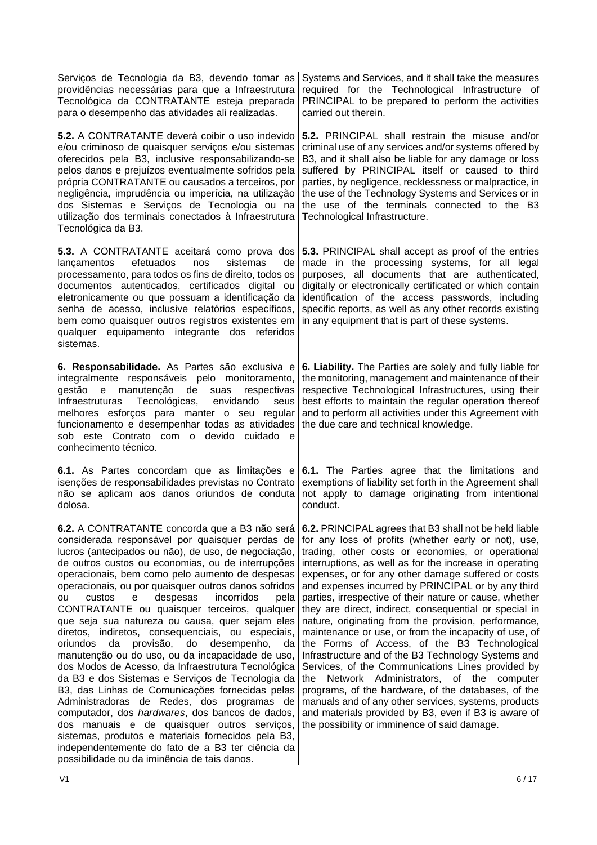| Serviços de Tecnologia da B3, devendo tomar as<br>providências necessárias para que a Infraestrutura<br>Tecnológica da CONTRATANTE esteja preparada<br>para o desempenho das atividades ali realizadas.                                                                                                                                                                                                                                                                                                                                                                                                                                                                                                                                                                                                                                                                                                                                                                                                                                                                                                                     | Systems and Services, and it shall take the measures<br>required for the Technological Infrastructure of<br>PRINCIPAL to be prepared to perform the activities<br>carried out therein.                                                                                                                                                                                                                                                                                                                                                                                                                                                                                                                                                                                                                                                                                                                                                                                                                                 |
|-----------------------------------------------------------------------------------------------------------------------------------------------------------------------------------------------------------------------------------------------------------------------------------------------------------------------------------------------------------------------------------------------------------------------------------------------------------------------------------------------------------------------------------------------------------------------------------------------------------------------------------------------------------------------------------------------------------------------------------------------------------------------------------------------------------------------------------------------------------------------------------------------------------------------------------------------------------------------------------------------------------------------------------------------------------------------------------------------------------------------------|------------------------------------------------------------------------------------------------------------------------------------------------------------------------------------------------------------------------------------------------------------------------------------------------------------------------------------------------------------------------------------------------------------------------------------------------------------------------------------------------------------------------------------------------------------------------------------------------------------------------------------------------------------------------------------------------------------------------------------------------------------------------------------------------------------------------------------------------------------------------------------------------------------------------------------------------------------------------------------------------------------------------|
| 5.2. A CONTRATANTE deverá coibir o uso indevido<br>e/ou criminoso de quaisquer serviços e/ou sistemas<br>oferecidos pela B3, inclusive responsabilizando-se<br>pelos danos e prejuízos eventualmente sofridos pela<br>própria CONTRATANTE ou causados a terceiros, por<br>negligência, imprudência ou imperícia, na utilização<br>dos Sistemas e Serviços de Tecnologia ou na<br>utilização dos terminais conectados à Infraestrutura<br>Tecnológica da B3.                                                                                                                                                                                                                                                                                                                                                                                                                                                                                                                                                                                                                                                                 | 5.2. PRINCIPAL shall restrain the misuse and/or<br>criminal use of any services and/or systems offered by<br>B3, and it shall also be liable for any damage or loss<br>suffered by PRINCIPAL itself or caused to third<br>parties, by negligence, recklessness or malpractice, in<br>the use of the Technology Systems and Services or in<br>the use of the terminals connected to the B3<br>Technological Infrastructure.                                                                                                                                                                                                                                                                                                                                                                                                                                                                                                                                                                                             |
| 5.3. A CONTRATANTE aceitará como prova dos<br>efetuados<br>sistemas<br>lançamentos<br>nos<br>de<br>processamento, para todos os fins de direito, todos os<br>documentos autenticados, certificados digital<br>ou<br>eletronicamente ou que possuam a identificação da<br>senha de acesso, inclusive relatórios específicos,<br>bem como quaisquer outros registros existentes em<br>qualquer equipamento integrante dos referidos<br>sistemas.                                                                                                                                                                                                                                                                                                                                                                                                                                                                                                                                                                                                                                                                              | 5.3. PRINCIPAL shall accept as proof of the entries<br>made in the processing systems, for all legal<br>purposes, all documents that are authenticated,<br>digitally or electronically certificated or which contain<br>identification of the access passwords, including<br>specific reports, as well as any other records existing<br>in any equipment that is part of these systems.                                                                                                                                                                                                                                                                                                                                                                                                                                                                                                                                                                                                                                |
| 6. Responsabilidade. As Partes são exclusiva e<br>integralmente responsáveis pelo monitoramento,<br>manutenção<br>gestão<br>de<br>respectivas<br>е<br>suas<br>Tecnológicas,<br><b>Infraestruturas</b><br>envidando<br>seus<br>melhores esforços para manter o seu regular<br>funcionamento e desempenhar todas as atividades<br>sob este Contrato com o devido cuidado e<br>conhecimento técnico.                                                                                                                                                                                                                                                                                                                                                                                                                                                                                                                                                                                                                                                                                                                           | 6. Liability. The Parties are solely and fully liable for<br>the monitoring, management and maintenance of their<br>respective Technological Infrastructures, using their<br>best efforts to maintain the regular operation thereof<br>and to perform all activities under this Agreement with<br>the due care and technical knowledge.                                                                                                                                                                                                                                                                                                                                                                                                                                                                                                                                                                                                                                                                                |
| 6.1. As Partes concordam que as limitações e<br>isenções de responsabilidades previstas no Contrato<br>não se aplicam aos danos oriundos de conduta<br>dolosa.                                                                                                                                                                                                                                                                                                                                                                                                                                                                                                                                                                                                                                                                                                                                                                                                                                                                                                                                                              | 6.1. The Parties agree that the limitations and<br>exemptions of liability set forth in the Agreement shall<br>not apply to damage originating from intentional<br>conduct.                                                                                                                                                                                                                                                                                                                                                                                                                                                                                                                                                                                                                                                                                                                                                                                                                                            |
| 6.2. A CONTRATANTE concorda que a B3 não será<br>considerada responsável por quaisquer perdas de<br>lucros (antecipados ou não), de uso, de negociação,<br>de outros custos ou economias, ou de interrupções<br>operacionais, bem como pelo aumento de despesas<br>operacionais, ou por quaisquer outros danos sofridos<br>despesas<br>incorridos<br>custos<br>pela<br>ou<br>е<br>CONTRATANTE ou quaisquer terceiros, qualquer<br>que seja sua natureza ou causa, quer sejam eles<br>diretos, indiretos, consequenciais, ou especiais,<br>provisão,<br>desempenho,<br>oriundos<br>da<br>do<br>da<br>manutenção ou do uso, ou da incapacidade de uso,<br>dos Modos de Acesso, da Infraestrutura Tecnológica<br>da B3 e dos Sistemas e Serviços de Tecnologia da<br>B3, das Linhas de Comunicações fornecidas pelas<br>Administradoras de Redes, dos programas de<br>computador, dos hardwares, dos bancos de dados,<br>dos manuais e de quaisquer outros serviços,<br>sistemas, produtos e materiais fornecidos pela B3,<br>independentemente do fato de a B3 ter ciência da<br>possibilidade ou da iminência de tais danos. | 6.2. PRINCIPAL agrees that B3 shall not be held liable<br>for any loss of profits (whether early or not), use,<br>trading, other costs or economies, or operational<br>interruptions, as well as for the increase in operating<br>expenses, or for any other damage suffered or costs<br>and expenses incurred by PRINCIPAL or by any third<br>parties, irrespective of their nature or cause, whether<br>they are direct, indirect, consequential or special in<br>nature, originating from the provision, performance,<br>maintenance or use, or from the incapacity of use, of<br>the Forms of Access, of the B3 Technological<br>Infrastructure and of the B3 Technology Systems and<br>Services, of the Communications Lines provided by<br>Network Administrators, of the computer<br>the<br>programs, of the hardware, of the databases, of the<br>manuals and of any other services, systems, products<br>and materials provided by B3, even if B3 is aware of<br>the possibility or imminence of said damage. |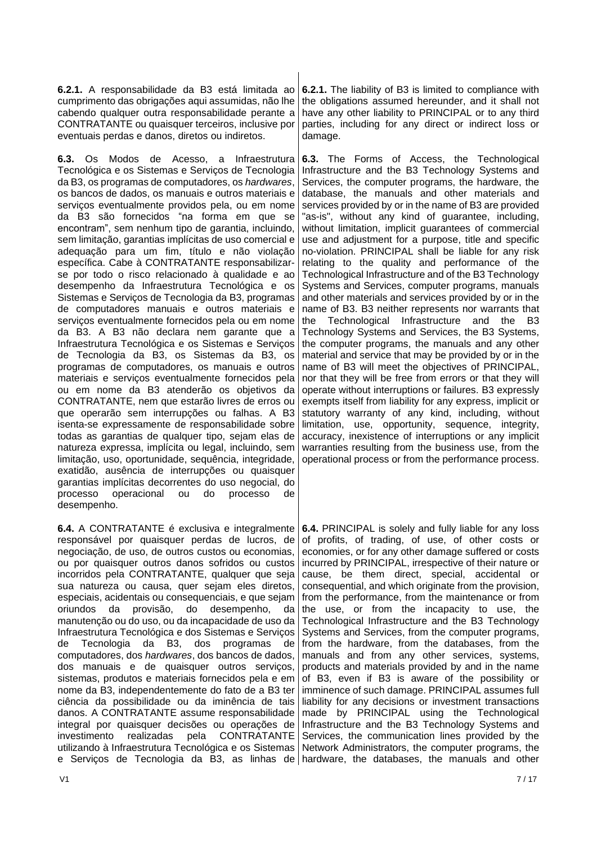**6.2.1.** A responsabilidade da B3 está limitada ao cumprimento das obrigações aqui assumidas, não lhe cabendo qualquer outra responsabilidade perante a CONTRATANTE ou quaisquer terceiros, inclusive por eventuais perdas e danos, diretos ou indiretos.

**6.3.** Os Modos de Acesso, a Infraestrutura Tecnológica e os Sistemas e Serviços de Tecnologia da B3, os programas de computadores, os *hardwares*, os bancos de dados, os manuais e outros materiais e servicos eventualmente providos pela, ou em nome da B3 são fornecidos "na forma em que se encontram", sem nenhum tipo de garantia, incluindo, sem limitação, garantias implícitas de uso comercial e adequação para um fim, título e não violação específica. Cabe à CONTRATANTE responsabilizarse por todo o risco relacionado à qualidade e ao desempenho da Infraestrutura Tecnológica e os Sistemas e Serviços de Tecnologia da B3, programas de computadores manuais e outros materiais e serviços eventualmente fornecidos pela ou em nome da B3. A B3 não declara nem garante que a Infraestrutura Tecnológica e os Sistemas e Serviços de Tecnologia da B3, os Sistemas da B3, os programas de computadores, os manuais e outros materiais e serviços eventualmente fornecidos pela ou em nome da B3 atenderão os objetivos da CONTRATANTE, nem que estarão livres de erros ou que operarão sem interrupções ou falhas. A B3 isenta-se expressamente de responsabilidade sobre todas as garantias de qualquer tipo, sejam elas de natureza expressa, implícita ou legal, incluindo, sem limitação, uso, oportunidade, sequência, integridade, exatidão, ausência de interrupções ou quaisquer garantias implícitas decorrentes do uso negocial, do processo operacional ou do processo de desempenho.

**6.4.** A CONTRATANTE é exclusiva e integralmente responsável por quaisquer perdas de lucros, de negociação, de uso, de outros custos ou economias, ou por quaisquer outros danos sofridos ou custos incorridos pela CONTRATANTE, qualquer que seja sua natureza ou causa, quer sejam eles diretos, especiais, acidentais ou consequenciais, e que sejam oriundos da provisão, do desempenho, da manutenção ou do uso, ou da incapacidade de uso da Infraestrutura Tecnológica e dos Sistemas e Serviços de Tecnologia da B3, dos programas de computadores, dos *hardwares*, dos bancos de dados, dos manuais e de quaisquer outros serviços, sistemas, produtos e materiais fornecidos pela e em nome da B3, independentemente do fato de a B3 ter ciência da possibilidade ou da iminência de tais danos. A CONTRATANTE assume responsabilidade integral por quaisquer decisões ou operações de investimento realizadas pela CONTRATANTE utilizando à Infraestrutura Tecnológica e os Sistemas e Serviços de Tecnologia da B3, as linhas de hardware, the databases, the manuals and other

**6.2.1.** The liability of B3 is limited to compliance with the obligations assumed hereunder, and it shall not have any other liability to PRINCIPAL or to any third parties, including for any direct or indirect loss or damage.

**6.3.** The Forms of Access, the Technological Infrastructure and the B3 Technology Systems and Services, the computer programs, the hardware, the database, the manuals and other materials and services provided by or in the name of B3 are provided "as-is", without any kind of guarantee, including, without limitation, implicit guarantees of commercial use and adjustment for a purpose, title and specific no-violation. PRINCIPAL shall be liable for any risk relating to the quality and performance of the Technological Infrastructure and of the B3 Technology Systems and Services, computer programs, manuals and other materials and services provided by or in the name of B3. B3 neither represents nor warrants that the Technological Infrastructure and the B3 Technology Systems and Services, the B3 Systems, the computer programs, the manuals and any other material and service that may be provided by or in the name of B3 will meet the objectives of PRINCIPAL, nor that they will be free from errors or that they will operate without interruptions or failures. B3 expressly exempts itself from liability for any express, implicit or statutory warranty of any kind, including, without limitation, use, opportunity, sequence, integrity, accuracy, inexistence of interruptions or any implicit warranties resulting from the business use, from the operational process or from the performance process.

**6.4.** PRINCIPAL is solely and fully liable for any loss of profits, of trading, of use, of other costs or economies, or for any other damage suffered or costs incurred by PRINCIPAL, irrespective of their nature or cause, be them direct, special, accidental or consequential, and which originate from the provision, from the performance, from the maintenance or from the use, or from the incapacity to use, the Technological Infrastructure and the B3 Technology Systems and Services, from the computer programs, from the hardware, from the databases, from the manuals and from any other services, systems, products and materials provided by and in the name of B3, even if B3 is aware of the possibility or imminence of such damage. PRINCIPAL assumes full liability for any decisions or investment transactions made by PRINCIPAL using the Technological Infrastructure and the B3 Technology Systems and Services, the communication lines provided by the Network Administrators, the computer programs, the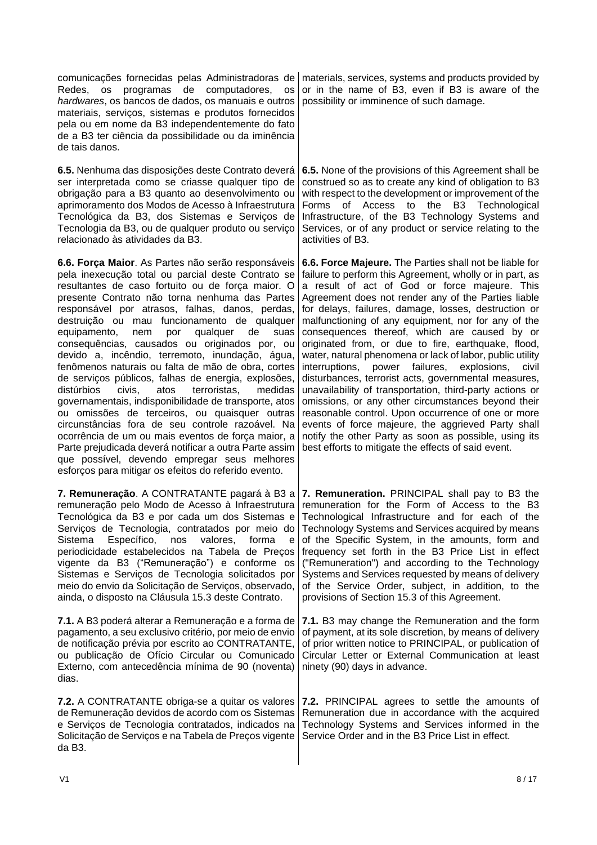comunicações fornecidas pelas Administradoras de Redes, os programas de computadores, os *hardwares*, os bancos de dados, os manuais e outros materiais, serviços, sistemas e produtos fornecidos pela ou em nome da B3 independentemente do fato de a B3 ter ciência da possibilidade ou da iminência de tais danos. **6.5.** Nenhuma das disposições deste Contrato deverá ser interpretada como se criasse qualquer tipo de obrigação para a B3 quanto ao desenvolvimento ou aprimoramento dos Modos de Acesso à Infraestrutura Tecnológica da B3, dos Sistemas e Serviços de Tecnologia da B3, ou de qualquer produto ou serviço relacionado às atividades da B3. activities of B3. **6.6. Força Maior**. As Partes não serão responsáveis pela inexecução total ou parcial deste Contrato se resultantes de caso fortuito ou de força maior. O presente Contrato não torna nenhuma das Partes responsável por atrasos, falhas, danos, perdas, destruição ou mau funcionamento de qualquer

equipamento, nem por qualquer de suas consequências, causados ou originados por, ou devido a, incêndio, terremoto, inundação, água, fenômenos naturais ou falta de mão de obra, cortes de serviços públicos, falhas de energia, explosões, distúrbios civis, atos terroristas, medidas governamentais, indisponibilidade de transporte, atos ou omissões de terceiros, ou quaisquer outras circunstâncias fora de seu controle razoável. Na ocorrência de um ou mais eventos de força maior, a Parte prejudicada deverá notificar a outra Parte assim que possível, devendo empregar seus melhores esforços para mitigar os efeitos do referido evento.

**7. Remuneração**. A CONTRATANTE pagará à B3 a remuneração pelo Modo de Acesso à Infraestrutura Tecnológica da B3 e por cada um dos Sistemas e Serviços de Tecnologia, contratados por meio do Sistema Específico, nos valores, forma periodicidade estabelecidos na Tabela de Preços vigente da B3 ("Remuneração") e conforme os Sistemas e Serviços de Tecnologia solicitados por meio do envio da Solicitação de Serviços, observado, ainda, o disposto na Cláusula 15.3 deste Contrato.

**7.1.** A B3 poderá alterar a Remuneração e a forma de pagamento, a seu exclusivo critério, por meio de envio de notificação prévia por escrito ao CONTRATANTE, ou publicação de Ofício Circular ou Comunicado Externo, com antecedência mínima de 90 (noventa) dias.

**7.2.** A CONTRATANTE obriga-se a quitar os valores de Remuneração devidos de acordo com os Sistemas e Serviços de Tecnologia contratados, indicados na Solicitação de Serviços e na Tabela de Preços vigente da B3.

materials, services, systems and products provided by or in the name of B3, even if B3 is aware of the possibility or imminence of such damage.

**6.5.** None of the provisions of this Agreement shall be construed so as to create any kind of obligation to B3 with respect to the development or improvement of the Forms of Access to the B3 Technological Infrastructure, of the B3 Technology Systems and Services, or of any product or service relating to the

**6.6. Force Majeure.** The Parties shall not be liable for failure to perform this Agreement, wholly or in part, as a result of act of God or force majeure. This Agreement does not render any of the Parties liable for delays, failures, damage, losses, destruction or malfunctioning of any equipment, nor for any of the consequences thereof, which are caused by or originated from, or due to fire, earthquake, flood, water, natural phenomena or lack of labor, public utility interruptions, power failures, explosions, civil disturbances, terrorist acts, governmental measures, unavailability of transportation, third-party actions or omissions, or any other circumstances beyond their reasonable control. Upon occurrence of one or more events of force majeure, the aggrieved Party shall notify the other Party as soon as possible, using its best efforts to mitigate the effects of said event.

**7. Remuneration.** PRINCIPAL shall pay to B3 the remuneration for the Form of Access to the B3 Technological Infrastructure and for each of the Technology Systems and Services acquired by means of the Specific System, in the amounts, form and frequency set forth in the B3 Price List in effect ("Remuneration") and according to the Technology Systems and Services requested by means of delivery of the Service Order, subject, in addition, to the provisions of Section 15.3 of this Agreement.

**7.1.** B3 may change the Remuneration and the form of payment, at its sole discretion, by means of delivery of prior written notice to PRINCIPAL, or publication of Circular Letter or External Communication at least ninety (90) days in advance.

**7.2.** PRINCIPAL agrees to settle the amounts of Remuneration due in accordance with the acquired Technology Systems and Services informed in the Service Order and in the B3 Price List in effect.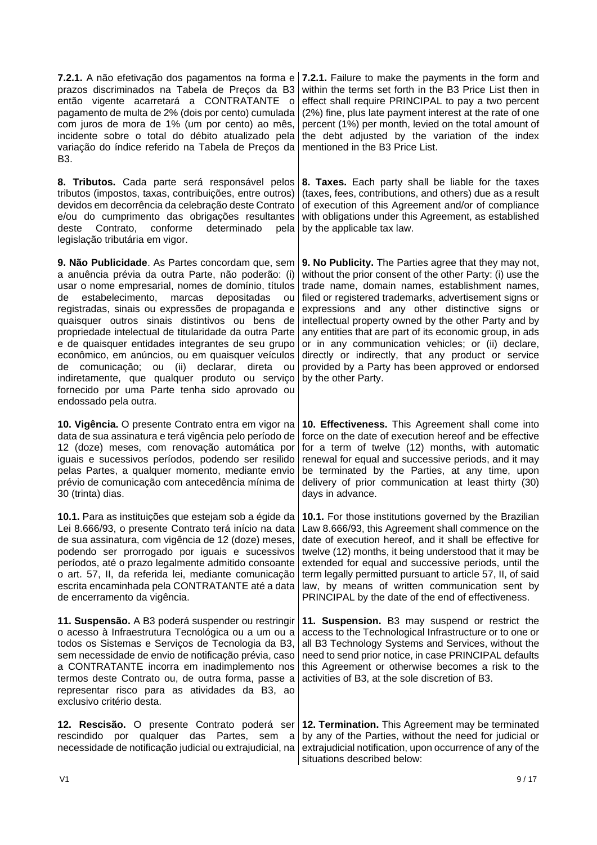| 7.2.1. A não efetivação dos pagamentos na forma e<br>prazos discriminados na Tabela de Preços da B3<br>então vigente acarretará a CONTRATANTE o<br>pagamento de multa de 2% (dois por cento) cumulada<br>com juros de mora de 1% (um por cento) ao mês,<br>incidente sobre o total do débito atualizado pela<br>variação do índice referido na Tabela de Preços da<br>B3.                                                                                                                                                                                                                                                                                                               | 7.2.1. Failure to make the payments in the form and<br>within the terms set forth in the B3 Price List then in<br>effect shall require PRINCIPAL to pay a two percent<br>(2%) fine, plus late payment interest at the rate of one<br>percent (1%) per month, levied on the total amount of<br>the debt adjusted by the variation of the index<br>mentioned in the B3 Price List.                                                                                                                                                                                                               |
|-----------------------------------------------------------------------------------------------------------------------------------------------------------------------------------------------------------------------------------------------------------------------------------------------------------------------------------------------------------------------------------------------------------------------------------------------------------------------------------------------------------------------------------------------------------------------------------------------------------------------------------------------------------------------------------------|------------------------------------------------------------------------------------------------------------------------------------------------------------------------------------------------------------------------------------------------------------------------------------------------------------------------------------------------------------------------------------------------------------------------------------------------------------------------------------------------------------------------------------------------------------------------------------------------|
| 8. Tributos. Cada parte será responsável pelos<br>tributos (impostos, taxas, contribuições, entre outros)<br>devidos em decorrência da celebração deste Contrato<br>e/ou do cumprimento das obrigações resultantes<br>conforme<br>Contrato,<br>determinado<br>deste<br>pela<br>legislação tributária em vigor.                                                                                                                                                                                                                                                                                                                                                                          | 8. Taxes. Each party shall be liable for the taxes<br>(taxes, fees, contributions, and others) due as a result<br>of execution of this Agreement and/or of compliance<br>with obligations under this Agreement, as established<br>by the applicable tax law.                                                                                                                                                                                                                                                                                                                                   |
| 9. Não Publicidade. As Partes concordam que, sem<br>a anuência prévia da outra Parte, não poderão: (i)<br>usar o nome empresarial, nomes de domínio, títulos<br>estabelecimento, marcas<br>depositadas<br>de<br>ou<br>registradas, sinais ou expressões de propaganda e<br>quaisquer outros sinais distintivos ou bens de<br>propriedade intelectual de titularidade da outra Parte<br>e de quaisquer entidades integrantes de seu grupo<br>econômico, em anúncios, ou em quaisquer veículos<br>de comunicação;<br>(ii)<br>declarar,<br>ou<br>direta<br>ou<br>indiretamente, que qualquer produto ou serviço<br>fornecido por uma Parte tenha sido aprovado ou<br>endossado pela outra. | 9. No Publicity. The Parties agree that they may not,<br>without the prior consent of the other Party: (i) use the<br>trade name, domain names, establishment names,<br>filed or registered trademarks, advertisement signs or<br>expressions and any other distinctive signs or<br>intellectual property owned by the other Party and by<br>any entities that are part of its economic group, in ads<br>or in any communication vehicles; or (ii) declare,<br>directly or indirectly, that any product or service<br>provided by a Party has been approved or endorsed<br>by the other Party. |
| 10. Vigência. O presente Contrato entra em vigor na<br>data de sua assinatura e terá vigência pelo período de<br>12 (doze) meses, com renovação automática por<br>iguais e sucessivos períodos, podendo ser resilido<br>pelas Partes, a qualquer momento, mediante envio<br>prévio de comunicação com antecedência mínima de<br>30 (trinta) dias.                                                                                                                                                                                                                                                                                                                                       | 10. Effectiveness. This Agreement shall come into<br>force on the date of execution hereof and be effective<br>for a term of twelve (12) months, with automatic<br>renewal for equal and successive periods, and it may<br>be terminated by the Parties, at any time, upon<br>delivery of prior communication at least thirty (30)<br>days in advance.                                                                                                                                                                                                                                         |
| 10.1. Para as instituições que estejam sob a égide da<br>Lei 8.666/93, o presente Contrato terá início na data<br>de sua assinatura, com vigência de 12 (doze) meses,<br>podendo ser prorrogado por iguais e sucessivos<br>períodos, até o prazo legalmente admitido consoante<br>o art. 57, II, da referida lei, mediante comunicação<br>escrita encaminhada pela CONTRATANTE até a data<br>de encerramento da vigência.                                                                                                                                                                                                                                                               | 10.1. For those institutions governed by the Brazilian<br>Law 8.666/93, this Agreement shall commence on the<br>date of execution hereof, and it shall be effective for<br>twelve (12) months, it being understood that it may be<br>extended for equal and successive periods, until the<br>term legally permitted pursuant to article 57, II, of said<br>law, by means of written communication sent by<br>PRINCIPAL by the date of the end of effectiveness.                                                                                                                                |
| 11. Suspensão. A B3 poderá suspender ou restringir<br>o acesso à Infraestrutura Tecnológica ou a um ou a<br>todos os Sistemas e Serviços de Tecnologia da B3,<br>sem necessidade de envio de notificação prévia, caso<br>a CONTRATANTE incorra em inadimplemento nos<br>termos deste Contrato ou, de outra forma, passe a<br>representar risco para as atividades da B3, ao<br>exclusivo critério desta.                                                                                                                                                                                                                                                                                | 11. Suspension. B3 may suspend or restrict the<br>access to the Technological Infrastructure or to one or<br>all B3 Technology Systems and Services, without the<br>need to send prior notice, in case PRINCIPAL defaults<br>this Agreement or otherwise becomes a risk to the<br>activities of B3, at the sole discretion of B3.                                                                                                                                                                                                                                                              |
| 12. Rescisão. O presente Contrato poderá ser<br>qualquer das Partes,<br>rescindido<br>por<br>sem<br>a<br>necessidade de notificação judicial ou extrajudicial, na                                                                                                                                                                                                                                                                                                                                                                                                                                                                                                                       | 12. Termination. This Agreement may be terminated<br>by any of the Parties, without the need for judicial or<br>extrajudicial notification, upon occurrence of any of the<br>situations described below:                                                                                                                                                                                                                                                                                                                                                                                       |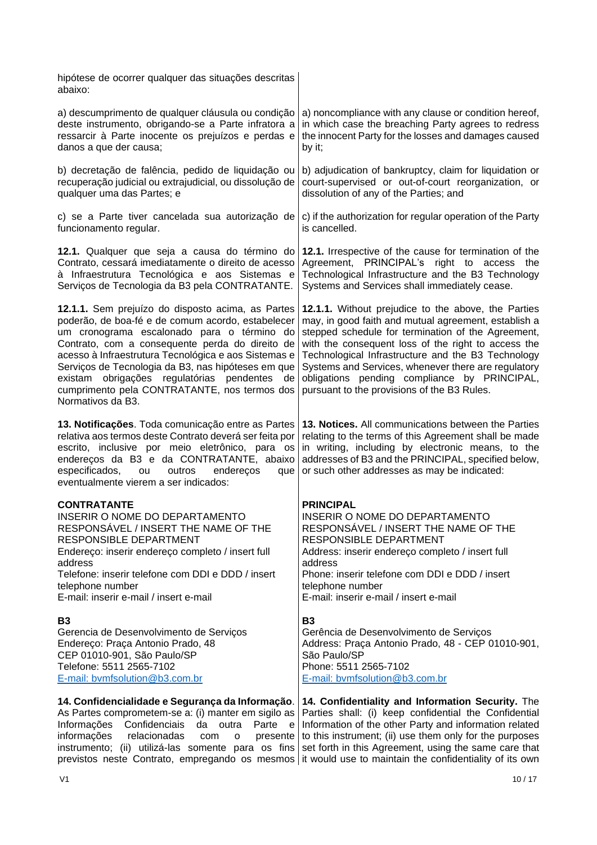| hipótese de ocorrer qualquer das situações descritas<br>abaixo:                                                                                                                                                                                                                                                                                                                                                                               |                                                                                                                                                                                                                                                                                                                                                                                                                                      |
|-----------------------------------------------------------------------------------------------------------------------------------------------------------------------------------------------------------------------------------------------------------------------------------------------------------------------------------------------------------------------------------------------------------------------------------------------|--------------------------------------------------------------------------------------------------------------------------------------------------------------------------------------------------------------------------------------------------------------------------------------------------------------------------------------------------------------------------------------------------------------------------------------|
| a) descumprimento de qualquer cláusula ou condição<br>deste instrumento, obrigando-se a Parte infratora a<br>ressarcir à Parte inocente os prejuízos e perdas e<br>danos a que der causa;                                                                                                                                                                                                                                                     | a) noncompliance with any clause or condition hereof,<br>in which case the breaching Party agrees to redress<br>the innocent Party for the losses and damages caused<br>by it;                                                                                                                                                                                                                                                       |
| b) decretação de falência, pedido de liquidação ou<br>recuperação judicial ou extrajudicial, ou dissolução de<br>qualquer uma das Partes; e                                                                                                                                                                                                                                                                                                   | b) adjudication of bankruptcy, claim for liquidation or<br>court-supervised or out-of-court reorganization, or<br>dissolution of any of the Parties; and                                                                                                                                                                                                                                                                             |
| c) se a Parte tiver cancelada sua autorização de<br>funcionamento regular.                                                                                                                                                                                                                                                                                                                                                                    | c) if the authorization for regular operation of the Party<br>is cancelled.                                                                                                                                                                                                                                                                                                                                                          |
| 12.1. Qualquer que seja a causa do término do<br>Contrato, cessará imediatamente o direito de acesso<br>à Infraestrutura Tecnológica e aos Sistemas e<br>Serviços de Tecnologia da B3 pela CONTRATANTE.                                                                                                                                                                                                                                       | 12.1. Irrespective of the cause for termination of the<br>Agreement, PRINCIPAL's right to access<br>the<br>Technological Infrastructure and the B3 Technology<br>Systems and Services shall immediately cease.                                                                                                                                                                                                                       |
| 12.1.1. Sem prejuízo do disposto acima, as Partes<br>poderão, de boa-fé e de comum acordo, estabelecer<br>um cronograma escalonado para o término do<br>Contrato, com a consequente perda do direito de<br>acesso à Infraestrutura Tecnológica e aos Sistemas e<br>Serviços de Tecnologia da B3, nas hipóteses em que<br>existam obrigações regulatórias pendentes<br>de<br>cumprimento pela CONTRATANTE, nos termos dos<br>Normativos da B3. | 12.1.1. Without prejudice to the above, the Parties<br>may, in good faith and mutual agreement, establish a<br>stepped schedule for termination of the Agreement,<br>with the consequent loss of the right to access the<br>Technological Infrastructure and the B3 Technology<br>Systems and Services, whenever there are regulatory<br>obligations pending compliance by PRINCIPAL,<br>pursuant to the provisions of the B3 Rules. |
| 13. Notificações. Toda comunicação entre as Partes<br>relativa aos termos deste Contrato deverá ser feita por<br>escrito, inclusive por meio eletrônico, para os<br>endereços da B3 e da CONTRATANTE, abaixo<br>especificados,<br>ou<br>outros<br>endereços<br>que<br>eventualmente vierem a ser indicados:                                                                                                                                   | 13. Notices. All communications between the Parties<br>relating to the terms of this Agreement shall be made<br>in writing, including by electronic means, to the<br>addresses of B3 and the PRINCIPAL, specified below,<br>or such other addresses as may be indicated:                                                                                                                                                             |
| <b>CONTRATANTE</b><br>INSERIR O NOME DO DEPARTAMENTO<br>RESPONSÁVEL / INSERT THE NAME OF THE<br>RESPONSIBLE DEPARTMENT<br>Endereço: inserir endereço completo / insert full<br>address<br>Telefone: inserir telefone com DDI e DDD / insert<br>telephone number<br>E-mail: inserir e-mail / insert e-mail                                                                                                                                     | <b>PRINCIPAL</b><br>INSERIR O NOME DO DEPARTAMENTO<br>RESPONSÁVEL / INSERT THE NAME OF THE<br>RESPONSIBLE DEPARTMENT<br>Address: inserir endereço completo / insert full<br>address<br>Phone: inserir telefone com DDI e DDD / insert<br>telephone number<br>E-mail: inserir e-mail / insert e-mail                                                                                                                                  |
| <b>B3</b><br>Gerencia de Desenvolvimento de Serviços<br>Endereço: Praça Antonio Prado, 48<br>CEP 01010-901, São Paulo/SP<br>Telefone: 5511 2565-7102<br>E-mail: bvmfsolution@b3.com.br                                                                                                                                                                                                                                                        | <b>B3</b><br>Gerência de Desenvolvimento de Serviços<br>Address: Praça Antonio Prado, 48 - CEP 01010-901,<br>São Paulo/SP<br>Phone: 5511 2565-7102<br>E-mail: bvmfsolution@b3.com.br                                                                                                                                                                                                                                                 |
| 14. Confidencialidade e Segurança da Informação.<br>As Partes comprometem-se a: (i) manter em sigilo as<br>Confidenciais<br>Informações<br>da<br>outra<br>Parte<br>e e<br>informações<br>relacionadas<br>com<br>presente<br>O<br>instrumento; (ii) utilizá-las somente para os fins                                                                                                                                                           | 14. Confidentiality and Information Security. The<br>Parties shall: (i) keep confidential the Confidential<br>Information of the other Party and information related<br>to this instrument; (ii) use them only for the purposes<br>set forth in this Agreement, using the same care that<br>previstos neste Contrato, empregando os mesmos it would use to maintain the confidentiality of its own                                   |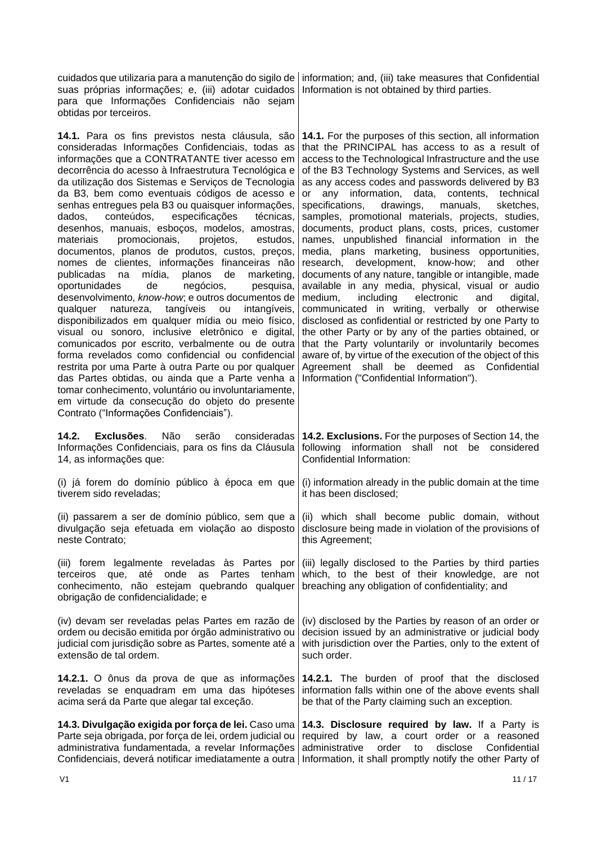| suas próprias informações; e, (iii) adotar cuidados<br>para que Informações Confidenciais não sejam<br>obtidas por terceiros.                                                                                                                                                                                                                                                                                                                                                                                                                                                                                                                                                                                                                                                                                                                                                                                                                                                                                                                                                                                                                                                                                                                                                                                                                        | cuidados que utilizaria para a manutenção do sigilo de   information; and, (iii) take measures that Confidential<br>Information is not obtained by third parties.                                                                                                                                                                                                                                                                                                                                                                                                                                                                                                                                                                                                                                                                                                                                                                                                                                                                                                                                                                                                                                                       |
|------------------------------------------------------------------------------------------------------------------------------------------------------------------------------------------------------------------------------------------------------------------------------------------------------------------------------------------------------------------------------------------------------------------------------------------------------------------------------------------------------------------------------------------------------------------------------------------------------------------------------------------------------------------------------------------------------------------------------------------------------------------------------------------------------------------------------------------------------------------------------------------------------------------------------------------------------------------------------------------------------------------------------------------------------------------------------------------------------------------------------------------------------------------------------------------------------------------------------------------------------------------------------------------------------------------------------------------------------|-------------------------------------------------------------------------------------------------------------------------------------------------------------------------------------------------------------------------------------------------------------------------------------------------------------------------------------------------------------------------------------------------------------------------------------------------------------------------------------------------------------------------------------------------------------------------------------------------------------------------------------------------------------------------------------------------------------------------------------------------------------------------------------------------------------------------------------------------------------------------------------------------------------------------------------------------------------------------------------------------------------------------------------------------------------------------------------------------------------------------------------------------------------------------------------------------------------------------|
| 14.1. Para os fins previstos nesta cláusula, são<br>consideradas Informações Confidenciais, todas as<br>informações que a CONTRATANTE tiver acesso em<br>decorrência do acesso à Infraestrutura Tecnológica e<br>da utilização dos Sistemas e Serviços de Tecnologia<br>da B3, bem como eventuais códigos de acesso e<br>senhas entregues pela B3 ou quaisquer informações,<br>conteúdos, especificações<br>dados.<br>técnicas,<br>desenhos, manuais, esboços, modelos, amostras,<br>promocionais,<br>materiais<br>projetos,<br>estudos,<br>documentos, planos de produtos, custos, preços,<br>nomes de clientes, informações financeiras não<br>planos de<br>publicadas na<br>mídia,<br>marketing,<br>de<br>negócios,<br>oportunidades<br>pesquisa,<br>desenvolvimento, know-how; e outros documentos de<br>qualquer<br>natureza, tangíveis ou<br>intangíveis,<br>disponibilizados em qualquer mídia ou meio físico,<br>visual ou sonoro, inclusive eletrônico e digital,<br>comunicados por escrito, verbalmente ou de outra<br>forma revelados como confidencial ou confidencial<br>restrita por uma Parte à outra Parte ou por qualquer<br>das Partes obtidas, ou ainda que a Parte venha a<br>tomar conhecimento, voluntário ou involuntariamente,<br>em virtude da consecução do objeto do presente<br>Contrato ("Informações Confidenciais"). | 14.1. For the purposes of this section, all information<br>that the PRINCIPAL has access to as a result of<br>access to the Technological Infrastructure and the use<br>of the B3 Technology Systems and Services, as well<br>as any access codes and passwords delivered by B3<br>or any information, data, contents, technical<br>specifications,<br>drawings,<br>manuals,<br>sketches,<br>samples, promotional materials, projects, studies,<br>documents, product plans, costs, prices, customer<br>names, unpublished financial information in the<br>media, plans marketing, business opportunities,<br>research, development, know-how; and<br>other<br>documents of any nature, tangible or intangible, made<br>available in any media, physical, visual or audio<br>electronic<br>medium,<br>including<br>and<br>digital,<br>communicated in writing, verbally or otherwise<br>disclosed as confidential or restricted by one Party to<br>the other Party or by any of the parties obtained, or<br>that the Party voluntarily or involuntarily becomes<br>aware of, by virtue of the execution of the object of this<br>Agreement shall be deemed as Confidential<br>Information ("Confidential Information"). |
| 14.2.<br>Exclusões.<br>Não<br>serão<br>consideradas<br>Informações Confidenciais, para os fins da Cláusula<br>14, as informações que:                                                                                                                                                                                                                                                                                                                                                                                                                                                                                                                                                                                                                                                                                                                                                                                                                                                                                                                                                                                                                                                                                                                                                                                                                | 14.2. Exclusions. For the purposes of Section 14, the<br>information shall not be considered<br>following<br>Confidential Information:                                                                                                                                                                                                                                                                                                                                                                                                                                                                                                                                                                                                                                                                                                                                                                                                                                                                                                                                                                                                                                                                                  |
| (i) já forem do domínio público à época em que<br>tiverem sido reveladas;                                                                                                                                                                                                                                                                                                                                                                                                                                                                                                                                                                                                                                                                                                                                                                                                                                                                                                                                                                                                                                                                                                                                                                                                                                                                            | (i) information already in the public domain at the time<br>it has been disclosed:                                                                                                                                                                                                                                                                                                                                                                                                                                                                                                                                                                                                                                                                                                                                                                                                                                                                                                                                                                                                                                                                                                                                      |
| divulgação seja efetuada em violação ao disposto<br>neste Contrato;                                                                                                                                                                                                                                                                                                                                                                                                                                                                                                                                                                                                                                                                                                                                                                                                                                                                                                                                                                                                                                                                                                                                                                                                                                                                                  | (ii) passarem a ser de domínio público, sem que a (ii) which shall become public domain, without<br>disclosure being made in violation of the provisions of<br>this Agreement;                                                                                                                                                                                                                                                                                                                                                                                                                                                                                                                                                                                                                                                                                                                                                                                                                                                                                                                                                                                                                                          |
| (iii) forem legalmente reveladas às Partes por<br>até onde as Partes tenham<br>terceiros que,<br>conhecimento, não estejam quebrando qualquer<br>obrigação de confidencialidade; e                                                                                                                                                                                                                                                                                                                                                                                                                                                                                                                                                                                                                                                                                                                                                                                                                                                                                                                                                                                                                                                                                                                                                                   | (iii) legally disclosed to the Parties by third parties<br>which, to the best of their knowledge, are not<br>breaching any obligation of confidentiality; and                                                                                                                                                                                                                                                                                                                                                                                                                                                                                                                                                                                                                                                                                                                                                                                                                                                                                                                                                                                                                                                           |
| (iv) devam ser reveladas pelas Partes em razão de<br>ordem ou decisão emitida por órgão administrativo ou<br>judicial com jurisdição sobre as Partes, somente até a<br>extensão de tal ordem.                                                                                                                                                                                                                                                                                                                                                                                                                                                                                                                                                                                                                                                                                                                                                                                                                                                                                                                                                                                                                                                                                                                                                        | (iv) disclosed by the Parties by reason of an order or<br>decision issued by an administrative or judicial body<br>with jurisdiction over the Parties, only to the extent of<br>such order.                                                                                                                                                                                                                                                                                                                                                                                                                                                                                                                                                                                                                                                                                                                                                                                                                                                                                                                                                                                                                             |
| 14.2.1. O ônus da prova de que as informações<br>reveladas se enquadram em uma das hipóteses<br>acima será da Parte que alegar tal exceção.                                                                                                                                                                                                                                                                                                                                                                                                                                                                                                                                                                                                                                                                                                                                                                                                                                                                                                                                                                                                                                                                                                                                                                                                          | 14.2.1. The burden of proof that the disclosed<br>information falls within one of the above events shall<br>be that of the Party claiming such an exception.                                                                                                                                                                                                                                                                                                                                                                                                                                                                                                                                                                                                                                                                                                                                                                                                                                                                                                                                                                                                                                                            |
| 14.3. Divulgação exigida por força de lei. Caso uma<br>Parte seja obrigada, por força de lei, ordem judicial ou<br>administrativa fundamentada, a revelar Informações<br>Confidenciais, deverá notificar imediatamente a outra                                                                                                                                                                                                                                                                                                                                                                                                                                                                                                                                                                                                                                                                                                                                                                                                                                                                                                                                                                                                                                                                                                                       | 14.3. Disclosure required by law. If a Party is<br>required by law, a court order or a reasoned<br>administrative<br>order<br>disclose<br>Confidential<br>to<br>Information, it shall promptly notify the other Party of                                                                                                                                                                                                                                                                                                                                                                                                                                                                                                                                                                                                                                                                                                                                                                                                                                                                                                                                                                                                |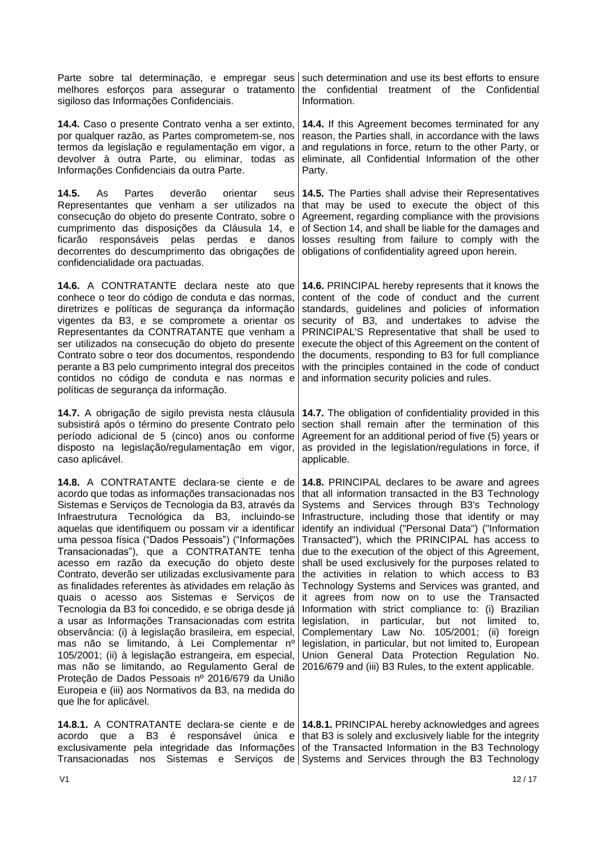| Parte sobre tal determinação, e empregar seus<br>melhores esforços para assegurar o tratamento<br>sigiloso das Informações Confidenciais.                                                                                                                                                                                                                                                                                                                                                                                                                                                                                                                                                                                                                                                                                                                                                                                                                                                                                                            | such determination and use its best efforts to ensure<br>the confidential treatment of the Confidential<br>Information.                                                                                                                                                                                                                                                                                                                                                                                                                                                                                                                                                                                                                                                                                                                                                                                                                         |
|------------------------------------------------------------------------------------------------------------------------------------------------------------------------------------------------------------------------------------------------------------------------------------------------------------------------------------------------------------------------------------------------------------------------------------------------------------------------------------------------------------------------------------------------------------------------------------------------------------------------------------------------------------------------------------------------------------------------------------------------------------------------------------------------------------------------------------------------------------------------------------------------------------------------------------------------------------------------------------------------------------------------------------------------------|-------------------------------------------------------------------------------------------------------------------------------------------------------------------------------------------------------------------------------------------------------------------------------------------------------------------------------------------------------------------------------------------------------------------------------------------------------------------------------------------------------------------------------------------------------------------------------------------------------------------------------------------------------------------------------------------------------------------------------------------------------------------------------------------------------------------------------------------------------------------------------------------------------------------------------------------------|
| 14.4. Caso o presente Contrato venha a ser extinto,<br>por qualquer razão, as Partes comprometem-se, nos<br>termos da legislação e regulamentação em vigor, a<br>devolver à outra Parte, ou eliminar, todas as<br>Informações Confidenciais da outra Parte.                                                                                                                                                                                                                                                                                                                                                                                                                                                                                                                                                                                                                                                                                                                                                                                          | 14.4. If this Agreement becomes terminated for any<br>reason, the Parties shall, in accordance with the laws<br>and regulations in force, return to the other Party, or<br>eliminate, all Confidential Information of the other<br>Party.                                                                                                                                                                                                                                                                                                                                                                                                                                                                                                                                                                                                                                                                                                       |
| 14.5.<br>As<br>Partes<br>deverão<br>orientar<br>seus<br>Representantes que venham a ser utilizados na<br>consecução do objeto do presente Contrato, sobre o<br>cumprimento das disposições da Cláusula 14, e<br>ficarão<br>responsáveis pelas<br>perdas<br>e<br>danos<br>decorrentes do descumprimento das obrigações de<br>confidencialidade ora pactuadas.                                                                                                                                                                                                                                                                                                                                                                                                                                                                                                                                                                                                                                                                                         | 14.5. The Parties shall advise their Representatives<br>that may be used to execute the object of this<br>Agreement, regarding compliance with the provisions<br>of Section 14, and shall be liable for the damages and<br>losses resulting from failure to comply with the<br>obligations of confidentiality agreed upon herein.                                                                                                                                                                                                                                                                                                                                                                                                                                                                                                                                                                                                               |
| 14.6. A CONTRATANTE declara neste ato que<br>conhece o teor do código de conduta e das normas,<br>diretrizes e políticas de segurança da informação<br>vigentes da B3, e se compromete a orientar os<br>Representantes da CONTRATANTE que venham a<br>ser utilizados na consecução do objeto do presente<br>Contrato sobre o teor dos documentos, respondendo<br>perante a B3 pelo cumprimento integral dos preceitos<br>contidos no código de conduta e nas normas e<br>políticas de segurança da informação.                                                                                                                                                                                                                                                                                                                                                                                                                                                                                                                                       | 14.6. PRINCIPAL hereby represents that it knows the<br>content of the code of conduct and the current<br>standards, guidelines and policies of information<br>security of B3, and undertakes to advise the<br>PRINCIPAL'S Representative that shall be used to<br>execute the object of this Agreement on the content of<br>the documents, responding to B3 for full compliance<br>with the principles contained in the code of conduct<br>and information security policies and rules.                                                                                                                                                                                                                                                                                                                                                                                                                                                         |
| 14.7. A obrigação de sigilo prevista nesta cláusula<br>subsistirá após o término do presente Contrato pelo<br>período adicional de 5 (cinco) anos ou conforme<br>disposto na legislação/regulamentação em vigor,<br>caso aplicável.                                                                                                                                                                                                                                                                                                                                                                                                                                                                                                                                                                                                                                                                                                                                                                                                                  | 14.7. The obligation of confidentiality provided in this<br>section shall remain after the termination of this<br>Agreement for an additional period of five (5) years or<br>as provided in the legislation/regulations in force, if<br>applicable.                                                                                                                                                                                                                                                                                                                                                                                                                                                                                                                                                                                                                                                                                             |
| 14.8. A CONTRATANTE declara-se ciente e de<br>acordo que todas as informações transacionadas nos<br>Sistemas e Serviços de Tecnologia da B3, através da<br>Infraestrutura Tecnológica da B3, incluindo-se<br>aquelas que identifiquem ou possam vir a identificar<br>uma pessoa física ("Dados Pessoais") ("Informações<br>Transacionadas"), que a CONTRATANTE tenha<br>acesso em razão da execução do objeto deste<br>Contrato, deverão ser utilizadas exclusivamente para<br>as finalidades referentes às atividades em relação às<br>quais o acesso aos Sistemas e Serviços de<br>Tecnologia da B3 foi concedido, e se obriga desde já<br>a usar as Informações Transacionadas com estrita<br>observância: (i) à legislação brasileira, em especial,<br>mas não se limitando, à Lei Complementar nº<br>105/2001; (ii) à legislação estrangeira, em especial,<br>mas não se limitando, ao Regulamento Geral de<br>Proteção de Dados Pessoais nº 2016/679 da União<br>Europeia e (iii) aos Normativos da B3, na medida do<br>que lhe for aplicável. | 14.8. PRINCIPAL declares to be aware and agrees<br>that all information transacted in the B3 Technology<br>Systems and Services through B3's Technology<br>Infrastructure, including those that identify or may<br>identify an individual ("Personal Data") ("Information<br>Transacted"), which the PRINCIPAL has access to<br>due to the execution of the object of this Agreement,<br>shall be used exclusively for the purposes related to<br>the activities in relation to which access to B3<br>Technology Systems and Services was granted, and<br>it agrees from now on to use the Transacted<br>Information with strict compliance to: (i) Brazilian<br>legislation,<br>particular, but not<br>in<br>limited to,<br>Complementary Law No. 105/2001; (ii) foreign<br>legislation, in particular, but not limited to, European<br>Union General Data Protection Regulation No.<br>2016/679 and (iii) B3 Rules, to the extent applicable. |
| B <sub>3</sub> é<br>responsável<br>acordo<br>que a<br>única<br>e<br>exclusivamente pela integridade das Informações<br>Transacionadas nos Sistemas e Serviços<br>de l                                                                                                                                                                                                                                                                                                                                                                                                                                                                                                                                                                                                                                                                                                                                                                                                                                                                                | <b>14.8.1.</b> A CONTRATANTE declara-se ciente e de <b>14.8.1.</b> PRINCIPAL hereby acknowledges and agrees<br>that B3 is solely and exclusively liable for the integrity<br>of the Transacted Information in the B3 Technology<br>Systems and Services through the B3 Technology                                                                                                                                                                                                                                                                                                                                                                                                                                                                                                                                                                                                                                                               |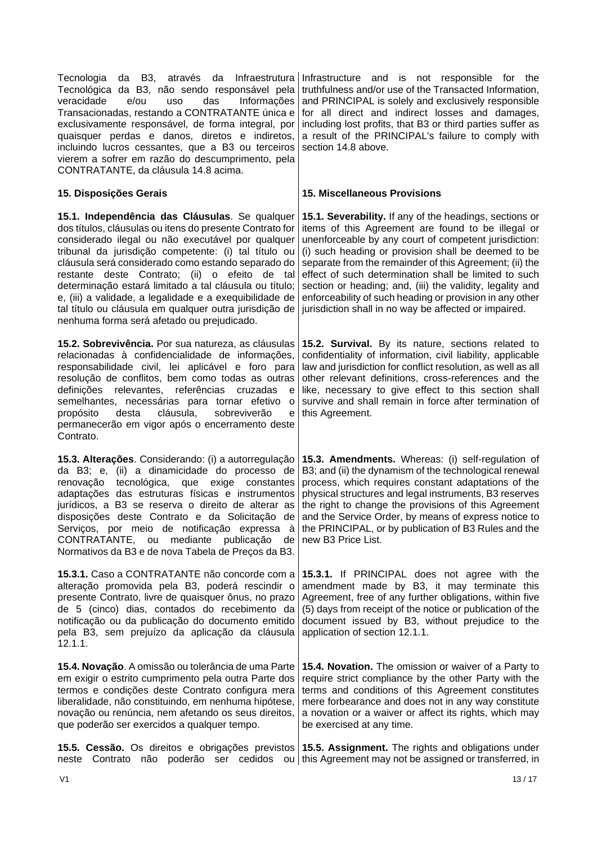Tecnologia da B3, através da Infraestrutura Tecnológica da B3, não sendo responsável pela veracidade e/ou uso das Informações Transacionadas, restando a CONTRATANTE única e exclusivamente responsável, de forma integral, por quaisquer perdas e danos, diretos e indiretos, incluindo lucros cessantes, que a B3 ou terceiros vierem a sofrer em razão do descumprimento, pela CONTRATANTE, da cláusula 14.8 acima. Infrastructure and is not responsible for the truthfulness and/or use of the Transacted Information, and PRINCIPAL is solely and exclusively responsible for all direct and indirect losses and damages, including lost profits, that B3 or third parties suffer as a result of the PRINCIPAL's failure to comply with section 14.8 above. **15. Disposições Gerais 15. Miscellaneous Provisions 15.1. Independência das Cláusulas**. Se qualquer dos títulos, cláusulas ou itens do presente Contrato for considerado ilegal ou não executável por qualquer tribunal da jurisdição competente: (i) tal título ou cláusula será considerado como estando separado do restante deste Contrato; (ii) o efeito de tal determinação estará limitado a tal cláusula ou título; e, (iii) a validade, a legalidade e a exequibilidade de tal título ou cláusula em qualquer outra jurisdição de nenhuma forma será afetado ou prejudicado. **15.1. Severability.** If any of the headings, sections or items of this Agreement are found to be illegal or unenforceable by any court of competent jurisdiction: (i) such heading or provision shall be deemed to be separate from the remainder of this Agreement; (ii) the effect of such determination shall be limited to such section or heading; and, (iii) the validity, legality and enforceability of such heading or provision in any other jurisdiction shall in no way be affected or impaired. **15.2. Sobrevivência.** Por sua natureza, as cláusulas relacionadas à confidencialidade de informações, responsabilidade civil, lei aplicável e foro para resolução de conflitos, bem como todas as outras definições relevantes, referências cruzadas e semelhantes, necessárias para tornar efetivo o propósito desta cláusula, sobreviverão e permanecerão em vigor após o encerramento deste Contrato. **15.2. Survival.** By its nature, sections related to confidentiality of information, civil liability, applicable law and jurisdiction for conflict resolution, as well as all other relevant definitions, cross-references and the like, necessary to give effect to this section shall survive and shall remain in force after termination of this Agreement. **15.3. Alterações**. Considerando: (i) a autorregulação da B3; e, (ii) a dinamicidade do processo de renovação tecnológica, que exige constantes adaptações das estruturas físicas e instrumentos jurídicos, a B3 se reserva o direito de alterar as disposições deste Contrato e da Solicitação de Serviços, por meio de notificação expressa à CONTRATANTE, ou mediante publicação de Normativos da B3 e de nova Tabela de Preços da B3. **15.3. Amendments.** Whereas: (i) self-regulation of B3; and (ii) the dynamism of the technological renewal process, which requires constant adaptations of the physical structures and legal instruments, B3 reserves the right to change the provisions of this Agreement and the Service Order, by means of express notice to the PRINCIPAL, or by publication of B3 Rules and the new B3 Price List. **15.3.1.** Caso a CONTRATANTE não concorde com a alteração promovida pela B3, poderá rescindir o presente Contrato, livre de quaisquer ônus, no prazo de 5 (cinco) dias, contados do recebimento da notificação ou da publicação do documento emitido pela B3, sem prejuízo da aplicação da cláusula 12.1.1. **15.3.1.** If PRINCIPAL does not agree with the amendment made by B3, it may terminate this Agreement, free of any further obligations, within five (5) days from receipt of the notice or publication of the document issued by B3, without prejudice to the application of section 12.1.1. **15.4. Novação**. A omissão ou tolerância de uma Parte em exigir o estrito cumprimento pela outra Parte dos termos e condições deste Contrato configura mera liberalidade, não constituindo, em nenhuma hipótese, novação ou renúncia, nem afetando os seus direitos, que poderão ser exercidos a qualquer tempo. **15.4. Novation.** The omission or waiver of a Party to require strict compliance by the other Party with the terms and conditions of this Agreement constitutes mere forbearance and does not in any way constitute a novation or a waiver or affect its rights, which may be exercised at any time. **15.5. Cessão.** Os direitos e obrigações previstos **15.5. Assignment.** The rights and obligations under neste Contrato não poderão ser cedidos ou | this Agreement may not be assigned or transferred, in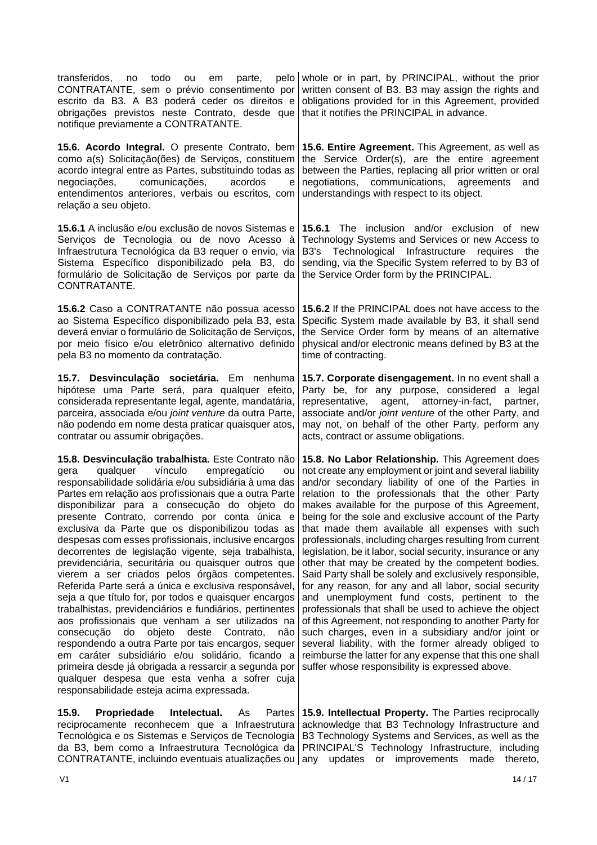| transferidos, no todo ou<br>parte,<br>pelo<br>em<br>CONTRATANTE, sem o prévio consentimento por<br>escrito da B3. A B3 poderá ceder os direitos e<br>obrigações previstos neste Contrato, desde que<br>notifique previamente a CONTRATANTE.                                                                                                                                                                                                                                                                                                                                                                                                                                                                                                                                                                                                                                                                                                                                                                                                                                                                                                                        | whole or in part, by PRINCIPAL, without the prior<br>written consent of B3. B3 may assign the rights and<br>obligations provided for in this Agreement, provided<br>that it notifies the PRINCIPAL in advance.                                                                                                                                                                                                                                                                                                                                                                                                                                                                                                                                                                                                                                                                                                                                                                                                                                                                                      |
|--------------------------------------------------------------------------------------------------------------------------------------------------------------------------------------------------------------------------------------------------------------------------------------------------------------------------------------------------------------------------------------------------------------------------------------------------------------------------------------------------------------------------------------------------------------------------------------------------------------------------------------------------------------------------------------------------------------------------------------------------------------------------------------------------------------------------------------------------------------------------------------------------------------------------------------------------------------------------------------------------------------------------------------------------------------------------------------------------------------------------------------------------------------------|-----------------------------------------------------------------------------------------------------------------------------------------------------------------------------------------------------------------------------------------------------------------------------------------------------------------------------------------------------------------------------------------------------------------------------------------------------------------------------------------------------------------------------------------------------------------------------------------------------------------------------------------------------------------------------------------------------------------------------------------------------------------------------------------------------------------------------------------------------------------------------------------------------------------------------------------------------------------------------------------------------------------------------------------------------------------------------------------------------|
| 15.6. Acordo Integral. O presente Contrato, bem<br>como a(s) Solicitação(ões) de Serviços, constituem<br>acordo integral entre as Partes, substituindo todas as<br>negociações,<br>comunicações,<br>acordos<br>e<br>entendimentos anteriores, verbais ou escritos, com<br>relação a seu objeto.                                                                                                                                                                                                                                                                                                                                                                                                                                                                                                                                                                                                                                                                                                                                                                                                                                                                    | 15.6. Entire Agreement. This Agreement, as well as<br>the Service Order(s), are the entire agreement<br>between the Parties, replacing all prior written or oral<br>negotiations, communications, agreements<br>and<br>understandings with respect to its object.                                                                                                                                                                                                                                                                                                                                                                                                                                                                                                                                                                                                                                                                                                                                                                                                                                   |
| 15.6.1 A inclusão e/ou exclusão de novos Sistemas e<br>Serviços de Tecnologia ou de novo Acesso à<br>Infraestrutura Tecnológica da B3 requer o envio, via<br>Sistema Específico disponibilizado pela B3, do<br>formulário de Solicitação de Serviços por parte da<br>CONTRATANTE.                                                                                                                                                                                                                                                                                                                                                                                                                                                                                                                                                                                                                                                                                                                                                                                                                                                                                  | <b>15.6.1</b> The inclusion and/or exclusion of new<br>Technology Systems and Services or new Access to<br>B3's Technological Infrastructure requires<br>the<br>sending, via the Specific System referred to by B3 of<br>the Service Order form by the PRINCIPAL.                                                                                                                                                                                                                                                                                                                                                                                                                                                                                                                                                                                                                                                                                                                                                                                                                                   |
| 15.6.2 Caso a CONTRATANTE não possua acesso<br>ao Sistema Específico disponibilizado pela B3, esta<br>deverá enviar o formulário de Solicitação de Serviços,<br>por meio físico e/ou eletrônico alternativo definido<br>pela B3 no momento da contratação.                                                                                                                                                                                                                                                                                                                                                                                                                                                                                                                                                                                                                                                                                                                                                                                                                                                                                                         | 15.6.2 If the PRINCIPAL does not have access to the<br>Specific System made available by B3, it shall send<br>the Service Order form by means of an alternative<br>physical and/or electronic means defined by B3 at the<br>time of contracting.                                                                                                                                                                                                                                                                                                                                                                                                                                                                                                                                                                                                                                                                                                                                                                                                                                                    |
| 15.7. Desvinculação societária. Em nenhuma<br>hipótese uma Parte será, para qualquer efeito,<br>considerada representante legal, agente, mandatária,<br>parceira, associada e/ou joint venture da outra Parte,<br>não podendo em nome desta praticar quaisquer atos,<br>contratar ou assumir obrigações.                                                                                                                                                                                                                                                                                                                                                                                                                                                                                                                                                                                                                                                                                                                                                                                                                                                           | 15.7. Corporate disengagement. In no event shall a<br>Party be, for any purpose, considered a legal<br>representative, agent, attorney-in-fact,<br>partner,<br>associate and/or joint venture of the other Party, and<br>may not, on behalf of the other Party, perform any<br>acts, contract or assume obligations.                                                                                                                                                                                                                                                                                                                                                                                                                                                                                                                                                                                                                                                                                                                                                                                |
| 15.8. Desvinculação trabalhista. Este Contrato não<br>vínculo<br>qualquer<br>empregatício<br>gera<br>ou<br>responsabilidade solidária e/ou subsidiária à uma das<br>Partes em relação aos profissionais que a outra Parte<br>disponibilizar para a consecução do objeto do<br>presente Contrato, correndo por conta única e<br>exclusiva da Parte que os disponibilizou todas as<br>despesas com esses profissionais, inclusive encargos<br>decorrentes de legislação vigente, seja trabalhista,<br>previdenciária, securitária ou quaisquer outros que<br>vierem a ser criados pelos órgãos competentes.<br>Referida Parte será a única e exclusiva responsável,<br>seja a que título for, por todos e quaisquer encargos<br>trabalhistas, previdenciários e fundiários, pertinentes<br>aos profissionais que venham a ser utilizados na<br>consecução do<br>objeto<br>deste<br>Contrato,<br>não<br>respondendo a outra Parte por tais encargos, sequer<br>em caráter subsidiário e/ou solidário, ficando a<br>primeira desde já obrigada a ressarcir a segunda por<br>qualquer despesa que esta venha a sofrer cuja<br>responsabilidade esteja acima expressada. | 15.8. No Labor Relationship. This Agreement does<br>not create any employment or joint and several liability<br>and/or secondary liability of one of the Parties in<br>relation to the professionals that the other Party<br>makes available for the purpose of this Agreement,<br>being for the sole and exclusive account of the Party<br>that made them available all expenses with such<br>professionals, including charges resulting from current<br>legislation, be it labor, social security, insurance or any<br>other that may be created by the competent bodies.<br>Said Party shall be solely and exclusively responsible,<br>for any reason, for any and all labor, social security<br>and unemployment fund costs, pertinent to the<br>professionals that shall be used to achieve the object<br>of this Agreement, not responding to another Party for<br>such charges, even in a subsidiary and/or joint or<br>several liability, with the former already obliged to<br>reimburse the latter for any expense that this one shall<br>suffer whose responsibility is expressed above. |
| 15.9.<br>Propriedade<br>Intelectual.<br>As<br>reciprocamente reconhecem que a Infraestrutura<br>Tecnológica e os Sistemas e Serviços de Tecnologia                                                                                                                                                                                                                                                                                                                                                                                                                                                                                                                                                                                                                                                                                                                                                                                                                                                                                                                                                                                                                 | Partes   15.9. Intellectual Property. The Parties reciprocally<br>acknowledge that B3 Technology Infrastructure and<br>B3 Technology Systems and Services, as well as the                                                                                                                                                                                                                                                                                                                                                                                                                                                                                                                                                                                                                                                                                                                                                                                                                                                                                                                           |

V1 14 / 17

PRINCIPAL'S Technology Infrastructure, including any updates or improvements made thereto,

da B3, bem como a Infraestrutura Tecnológica da CONTRATANTE, incluindo eventuais atualizações ou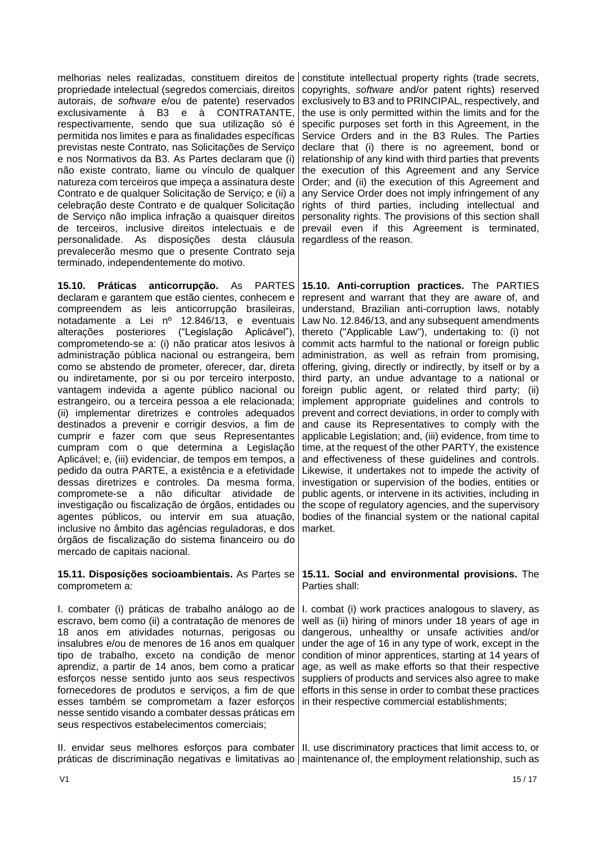melhorias neles realizadas, constituem direitos de propriedade intelectual (segredos comerciais, direitos autorais, de *software* e/ou de patente) reservados exclusivamente à B3 e à CONTRATANTE, respectivamente, sendo que sua utilização só é permitida nos limites e para as finalidades específicas previstas neste Contrato, nas Solicitações de Serviço e nos Normativos da B3. As Partes declaram que (i) não existe contrato, liame ou vínculo de qualquer natureza com terceiros que impeça a assinatura deste Contrato e de qualquer Solicitação de Serviço; e (ii) a celebração deste Contrato e de qualquer Solicitação de Serviço não implica infração a quaisquer direitos de terceiros, inclusive direitos intelectuais e de personalidade. As disposições desta cláusula prevalecerão mesmo que o presente Contrato seja terminado, independentemente do motivo.

**15.10. Práticas anticorrupção.** As PARTES declaram e garantem que estão cientes, conhecem e compreendem as leis anticorrupção brasileiras, notadamente a Lei nº 12.846/13, e eventuais alterações posteriores ("Legislação Aplicável"), comprometendo-se a: (i) não praticar atos lesivos à administração pública nacional ou estrangeira, bem como se abstendo de prometer, oferecer, dar, direta ou indiretamente, por si ou por terceiro interposto, vantagem indevida a agente público nacional ou estrangeiro, ou a terceira pessoa a ele relacionada; (ii) implementar diretrizes e controles adequados destinados a prevenir e corrigir desvios, a fim de cumprir e fazer com que seus Representantes cumpram com o que determina a Legislação Aplicável; e, (iii) evidenciar, de tempos em tempos, a pedido da outra PARTE, a existência e a efetividade dessas diretrizes e controles. Da mesma forma, compromete-se a não dificultar atividade de investigação ou fiscalização de órgãos, entidades ou agentes públicos, ou intervir em sua atuação, inclusive no âmbito das agências reguladoras, e dos órgãos de fiscalização do sistema financeiro ou do mercado de capitais nacional.

**15.11. Disposições socioambientais.** As Partes se comprometem a:

I. combater (i) práticas de trabalho análogo ao de escravo, bem como (ii) a contratação de menores de 18 anos em atividades noturnas, perigosas ou insalubres e/ou de menores de 16 anos em qualquer tipo de trabalho, exceto na condição de menor aprendiz, a partir de 14 anos, bem como a praticar esforços nesse sentido junto aos seus respectivos fornecedores de produtos e serviços, a fim de que esses também se comprometam a fazer esforços nesse sentido visando a combater dessas práticas em seus respectivos estabelecimentos comerciais;

II. envidar seus melhores esforços para combater | II. use discriminatory practices that limit access to, or práticas de discriminação negativas e limitativas ao | maintenance of, the employment relationship, such as

constitute intellectual property rights (trade secrets, copyrights, *software* and/or patent rights) reserved exclusively to B3 and to PRINCIPAL, respectively, and the use is only permitted within the limits and for the specific purposes set forth in this Agreement, in the Service Orders and in the B3 Rules. The Parties declare that (i) there is no agreement, bond or relationship of any kind with third parties that prevents the execution of this Agreement and any Service Order; and (ii) the execution of this Agreement and any Service Order does not imply infringement of any rights of third parties, including intellectual and personality rights. The provisions of this section shall prevail even if this Agreement is terminated, regardless of the reason.

**15.10. Anti-corruption practices.** The PARTIES represent and warrant that they are aware of, and understand, Brazilian anti-corruption laws, notably Law No. 12.846/13, and any subsequent amendments thereto ("Applicable Law"), undertaking to: (i) not commit acts harmful to the national or foreign public administration, as well as refrain from promising, offering, giving, directly or indirectly, by itself or by a third party, an undue advantage to a national or foreign public agent, or related third party; (ii) implement appropriate guidelines and controls to prevent and correct deviations, in order to comply with and cause its Representatives to comply with the applicable Legislation; and, (iii) evidence, from time to time, at the request of the other PARTY, the existence and effectiveness of these guidelines and controls. Likewise, it undertakes not to impede the activity of investigation or supervision of the bodies, entities or public agents, or intervene in its activities, including in the scope of regulatory agencies, and the supervisory bodies of the financial system or the national capital market.

**15.11. Social and environmental provisions.** The Parties shall:

I. combat (i) work practices analogous to slavery, as well as (ii) hiring of minors under 18 years of age in dangerous, unhealthy or unsafe activities and/or under the age of 16 in any type of work, except in the condition of minor apprentices, starting at 14 years of age, as well as make efforts so that their respective suppliers of products and services also agree to make efforts in this sense in order to combat these practices in their respective commercial establishments;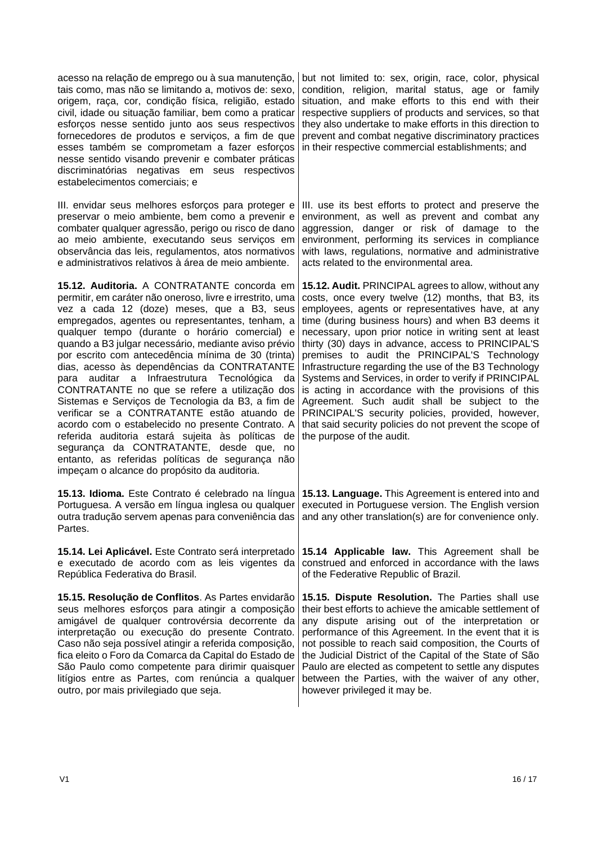| acesso na relação de emprego ou à sua manutenção,<br>tais como, mas não se limitando a, motivos de: sexo,<br>origem, raça, cor, condição física, religião, estado<br>civil, idade ou situação familiar, bem como a praticar<br>esforços nesse sentido junto aos seus respectivos<br>fornecedores de produtos e serviços, a fim de que<br>esses também se comprometam a fazer esforços<br>nesse sentido visando prevenir e combater práticas<br>discriminatórias negativas em seus respectivos<br>estabelecimentos comerciais; e                                                                                                                                                                                                                                                                                                                                                                  | but not limited to: sex, origin, race, color, physical<br>condition, religion, marital status, age or family<br>situation, and make efforts to this end with their<br>respective suppliers of products and services, so that<br>they also undertake to make efforts in this direction to<br>prevent and combat negative discriminatory practices<br>in their respective commercial establishments; and                                                                                                                                                                                                                                                                                                                                                     |
|--------------------------------------------------------------------------------------------------------------------------------------------------------------------------------------------------------------------------------------------------------------------------------------------------------------------------------------------------------------------------------------------------------------------------------------------------------------------------------------------------------------------------------------------------------------------------------------------------------------------------------------------------------------------------------------------------------------------------------------------------------------------------------------------------------------------------------------------------------------------------------------------------|------------------------------------------------------------------------------------------------------------------------------------------------------------------------------------------------------------------------------------------------------------------------------------------------------------------------------------------------------------------------------------------------------------------------------------------------------------------------------------------------------------------------------------------------------------------------------------------------------------------------------------------------------------------------------------------------------------------------------------------------------------|
| III. envidar seus melhores esforços para proteger e                                                                                                                                                                                                                                                                                                                                                                                                                                                                                                                                                                                                                                                                                                                                                                                                                                              | III. use its best efforts to protect and preserve the                                                                                                                                                                                                                                                                                                                                                                                                                                                                                                                                                                                                                                                                                                      |
| preservar o meio ambiente, bem como a prevenir e                                                                                                                                                                                                                                                                                                                                                                                                                                                                                                                                                                                                                                                                                                                                                                                                                                                 | environment, as well as prevent and combat any                                                                                                                                                                                                                                                                                                                                                                                                                                                                                                                                                                                                                                                                                                             |
| combater qualquer agressão, perigo ou risco de dano                                                                                                                                                                                                                                                                                                                                                                                                                                                                                                                                                                                                                                                                                                                                                                                                                                              | aggression, danger or risk of damage to the                                                                                                                                                                                                                                                                                                                                                                                                                                                                                                                                                                                                                                                                                                                |
| ao meio ambiente, executando seus serviços em                                                                                                                                                                                                                                                                                                                                                                                                                                                                                                                                                                                                                                                                                                                                                                                                                                                    | environment, performing its services in compliance                                                                                                                                                                                                                                                                                                                                                                                                                                                                                                                                                                                                                                                                                                         |
| observância das leis, regulamentos, atos normativos                                                                                                                                                                                                                                                                                                                                                                                                                                                                                                                                                                                                                                                                                                                                                                                                                                              | with laws, regulations, normative and administrative                                                                                                                                                                                                                                                                                                                                                                                                                                                                                                                                                                                                                                                                                                       |
| e administrativos relativos à área de meio ambiente.                                                                                                                                                                                                                                                                                                                                                                                                                                                                                                                                                                                                                                                                                                                                                                                                                                             | acts related to the environmental area.                                                                                                                                                                                                                                                                                                                                                                                                                                                                                                                                                                                                                                                                                                                    |
| 15.12. Auditoria. A CONTRATANTE concorda em<br>permitir, em caráter não oneroso, livre e irrestrito, uma<br>vez a cada 12 (doze) meses, que a B3, seus<br>empregados, agentes ou representantes, tenham, a<br>qualquer tempo (durante o horário comercial) e<br>quando a B3 julgar necessário, mediante aviso prévio<br>por escrito com antecedência mínima de 30 (trinta)<br>dias, acesso às dependências da CONTRATANTE<br>para auditar a Infraestrutura Tecnológica<br>da<br>CONTRATANTE no que se refere a utilização dos<br>Sistemas e Serviços de Tecnologia da B3, a fim de<br>verificar se a CONTRATANTE estão atuando de<br>acordo com o estabelecido no presente Contrato. A<br>referida auditoria estará sujeita às políticas<br>de<br>segurança da CONTRATANTE, desde que,<br>no<br>entanto, as referidas políticas de segurança não<br>impeçam o alcance do propósito da auditoria. | 15.12. Audit. PRINCIPAL agrees to allow, without any<br>costs, once every twelve (12) months, that B3, its<br>employees, agents or representatives have, at any<br>time (during business hours) and when B3 deems it<br>necessary, upon prior notice in writing sent at least<br>thirty (30) days in advance, access to PRINCIPAL'S<br>premises to audit the PRINCIPAL'S Technology<br>Infrastructure regarding the use of the B3 Technology<br>Systems and Services, in order to verify if PRINCIPAL<br>is acting in accordance with the provisions of this<br>Agreement. Such audit shall be subject to the<br>PRINCIPAL'S security policies, provided, however,<br>that said security policies do not prevent the scope of<br>the purpose of the audit. |
| 15.13. Idioma. Este Contrato é celebrado na língua<br>Portuguesa. A versão em língua inglesa ou qualquer<br>outra tradução servem apenas para conveniência das<br>Partes.                                                                                                                                                                                                                                                                                                                                                                                                                                                                                                                                                                                                                                                                                                                        | 15.13. Language. This Agreement is entered into and<br>executed in Portuguese version. The English version<br>and any other translation(s) are for convenience only.                                                                                                                                                                                                                                                                                                                                                                                                                                                                                                                                                                                       |
| 15.14. Lei Aplicável. Este Contrato será interpretado                                                                                                                                                                                                                                                                                                                                                                                                                                                                                                                                                                                                                                                                                                                                                                                                                                            | 15.14 Applicable law. This Agreement shall be                                                                                                                                                                                                                                                                                                                                                                                                                                                                                                                                                                                                                                                                                                              |
| e executado de acordo com as leis vigentes da                                                                                                                                                                                                                                                                                                                                                                                                                                                                                                                                                                                                                                                                                                                                                                                                                                                    | construed and enforced in accordance with the laws                                                                                                                                                                                                                                                                                                                                                                                                                                                                                                                                                                                                                                                                                                         |
| República Federativa do Brasil.                                                                                                                                                                                                                                                                                                                                                                                                                                                                                                                                                                                                                                                                                                                                                                                                                                                                  | of the Federative Republic of Brazil.                                                                                                                                                                                                                                                                                                                                                                                                                                                                                                                                                                                                                                                                                                                      |
| 15.15. Resolução de Conflitos. As Partes envidarão                                                                                                                                                                                                                                                                                                                                                                                                                                                                                                                                                                                                                                                                                                                                                                                                                                               | 15.15. Dispute Resolution. The Parties shall use                                                                                                                                                                                                                                                                                                                                                                                                                                                                                                                                                                                                                                                                                                           |
| seus melhores esforços para atingir a composição                                                                                                                                                                                                                                                                                                                                                                                                                                                                                                                                                                                                                                                                                                                                                                                                                                                 | their best efforts to achieve the amicable settlement of                                                                                                                                                                                                                                                                                                                                                                                                                                                                                                                                                                                                                                                                                                   |
| amigável de qualquer controvérsia decorrente da                                                                                                                                                                                                                                                                                                                                                                                                                                                                                                                                                                                                                                                                                                                                                                                                                                                  | any dispute arising out of the interpretation or                                                                                                                                                                                                                                                                                                                                                                                                                                                                                                                                                                                                                                                                                                           |
| interpretação ou execução do presente Contrato.                                                                                                                                                                                                                                                                                                                                                                                                                                                                                                                                                                                                                                                                                                                                                                                                                                                  | performance of this Agreement. In the event that it is                                                                                                                                                                                                                                                                                                                                                                                                                                                                                                                                                                                                                                                                                                     |
| Caso não seja possível atingir a referida composição,                                                                                                                                                                                                                                                                                                                                                                                                                                                                                                                                                                                                                                                                                                                                                                                                                                            | not possible to reach said composition, the Courts of                                                                                                                                                                                                                                                                                                                                                                                                                                                                                                                                                                                                                                                                                                      |
| fica eleito o Foro da Comarca da Capital do Estado de                                                                                                                                                                                                                                                                                                                                                                                                                                                                                                                                                                                                                                                                                                                                                                                                                                            | the Judicial District of the Capital of the State of São                                                                                                                                                                                                                                                                                                                                                                                                                                                                                                                                                                                                                                                                                                   |
| São Paulo como competente para dirimir quaisquer                                                                                                                                                                                                                                                                                                                                                                                                                                                                                                                                                                                                                                                                                                                                                                                                                                                 | Paulo are elected as competent to settle any disputes                                                                                                                                                                                                                                                                                                                                                                                                                                                                                                                                                                                                                                                                                                      |
| litígios entre as Partes, com renúncia a qualquer                                                                                                                                                                                                                                                                                                                                                                                                                                                                                                                                                                                                                                                                                                                                                                                                                                                | between the Parties, with the waiver of any other,                                                                                                                                                                                                                                                                                                                                                                                                                                                                                                                                                                                                                                                                                                         |
| outro, por mais privilegiado que seja.                                                                                                                                                                                                                                                                                                                                                                                                                                                                                                                                                                                                                                                                                                                                                                                                                                                           | however privileged it may be.                                                                                                                                                                                                                                                                                                                                                                                                                                                                                                                                                                                                                                                                                                                              |